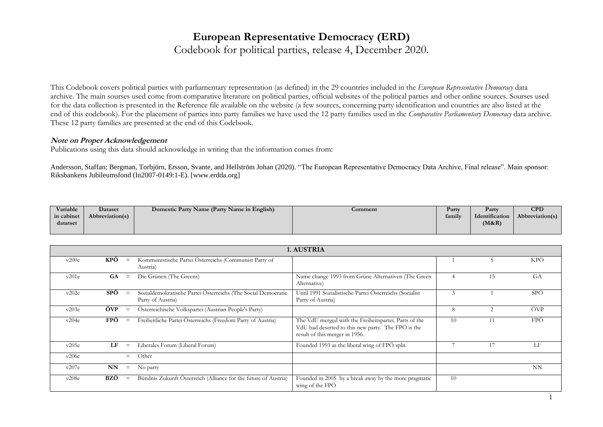# **European Representative Democracy (ERD)**

Codebook for political parties, release 4, December 2020.

This Codebook covers political parties with parliamentary representation (as defined) in the 29 countries included in the *European Representative Democracy* data archive. The main sourses used come from comparative literature on political parties, official websites of the political parties and other online sources. Sourses used for the data collection is presented in the Reference file available on the website (a few sources, concerning party identification and countries are also listed at the end of this codebook). For the placement of parties into party families we have used the 12 party families used in the *Comparative Parliamentary Democracy* data archive. These 12 party families are presented at the end of this Codebook.

#### **Note on Proper Acknowledgement**

Publications using this data should acknowledge in writing that the information comes from:

Andersson, Staffan; Bergman, Torbjörn, Ersson, Svante, and Hellström Johan (2020). "The European Representative Democracy Data Archive, Final release". Main sponsor: Riksbankens Jubileumsfond (In2007-0149:1-E). [www.erdda.org]

| Variable   | Dataset         | Domestic Party Name (Party Name in English) | Comment | Party  | Party          | $\mathbf{C}\mathbf{P}\mathbf{D}$ |
|------------|-----------------|---------------------------------------------|---------|--------|----------------|----------------------------------|
| in cabinet | Abbreviation(s) |                                             |         | family | Identification | Abbreviation(s)                  |
| datatset   |                 |                                             |         |        | (M&R)          |                                  |
|            |                 |                                             |         |        |                |                                  |

|       | 1. AUSTRIA |                   |                                                                                    |                                                                                                                                               |    |               |     |  |  |  |  |
|-------|------------|-------------------|------------------------------------------------------------------------------------|-----------------------------------------------------------------------------------------------------------------------------------------------|----|---------------|-----|--|--|--|--|
| v200e | KPÖ        | $\equiv$          | Kommunistische Partei Österreichs (Communist Party of<br>Austria)                  |                                                                                                                                               |    | ר             | KPÖ |  |  |  |  |
| v201e | GA         | $\equiv$          | Die Grünen (The Greens)                                                            | Name change 1993 from Grüne Alternativen (The Green<br>Alternative)                                                                           |    | 15            | GA  |  |  |  |  |
| v202e | <b>SPÖ</b> | $\equiv$          | Sozialdemokratische Partei Österreichs (The Social Democratic<br>Party of Austria) | Until 1991 Sozialistische Partei Österreichs (Socialist<br>Party of Austria)                                                                  |    |               | SPÖ |  |  |  |  |
| v203e | ÖVP        | $\equiv$          | Österreichische Volkspartei (Austrian People's Party)                              |                                                                                                                                               | 8  | $\mathcal{D}$ | ÖVP |  |  |  |  |
| v204e | <b>FPÖ</b> | $\equiv$          | Freiheitliche Partei Österreichs (Freedom Party of Austria)                        | The VdU merged with the Freiheitspartei. Parts of the<br>VdU had deserted to this new party. The FPÖ is the<br>result of this merger in 1956. | 10 |               | FPÖ |  |  |  |  |
| v205e | LF         | $\equiv$          | Liberales Forum (Liberal Forum)                                                    | Founded 1993 as the liberal wing of FPÖ split.                                                                                                |    |               | LF  |  |  |  |  |
| v206e |            | $=$               | Other                                                                              |                                                                                                                                               |    |               |     |  |  |  |  |
| v207e | <b>NN</b>  | $\qquad \qquad =$ | No party                                                                           |                                                                                                                                               |    |               | NN  |  |  |  |  |
| v208e | BZÖ        | $\equiv$          | Bündnis Zukunft Österreich (Alliance for the future of Austria)                    | Founded in 2005 by a break away by the more pragmatic<br>wing of the FPÖ                                                                      | 10 |               |     |  |  |  |  |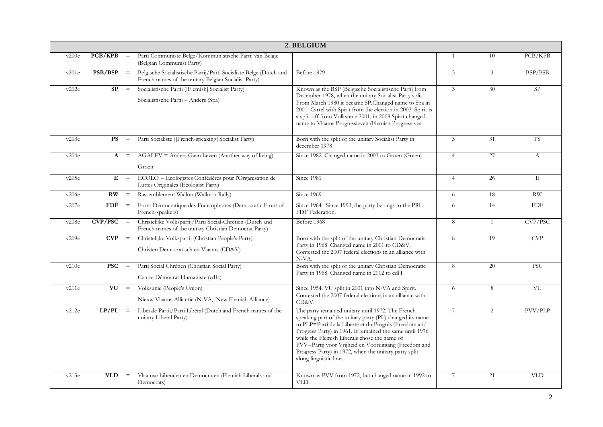|       | 2. BELGIUM             |          |                                                                                                                           |                                                                                                                                                                                                                                                                                                                                                                                                                                |                |                |            |  |  |  |  |
|-------|------------------------|----------|---------------------------------------------------------------------------------------------------------------------------|--------------------------------------------------------------------------------------------------------------------------------------------------------------------------------------------------------------------------------------------------------------------------------------------------------------------------------------------------------------------------------------------------------------------------------|----------------|----------------|------------|--|--|--|--|
| v200e | PCB/KPB                | $\equiv$ | Parti Communiste Belge/Kommunistische Partij van België<br>(Belgian Communist Party)                                      |                                                                                                                                                                                                                                                                                                                                                                                                                                | $\mathbf{1}$   | 10             | PCB/KPB    |  |  |  |  |
| v201e | PSB/BSP                | $\equiv$ | Belgische Socialistische Partij/Parti Socialiste Belge (Dutch and<br>French names of the unitary Belgian Socialist Party) | Before 1979                                                                                                                                                                                                                                                                                                                                                                                                                    | 3              | $\mathfrak{Z}$ | BSP/PSB    |  |  |  |  |
| v202e | SP                     | $\equiv$ | Socialistische Partij ([Flemish] Socialist Party)<br>Socialistische Partij - Anders (Spa)                                 | Known as the BSP (Belgische Socialistische Partij from<br>December 1978, when the unitary Socialist Party split.<br>From March 1980 it became SP.Changed name to Spa in<br>2001. Cartel with Spirit from the election in 2003. Spirit is<br>a split off from Volksunie 2001, in 2008 Spirit changed<br>name to Vlaams Progressieven (Flemish Progressives.                                                                     | $\overline{3}$ | 30             | SP         |  |  |  |  |
| v203e | <b>PS</b>              | $\, =$   | Parti Socialiste ([French-speaking] Socialist Party)                                                                      | Born with the split of the unitary Socialist Party in<br>december 1978                                                                                                                                                                                                                                                                                                                                                         | 3              | 31             | <b>PS</b>  |  |  |  |  |
| v204e | $\mathbf{A}$           | $=$      | $AGALEV = Anders Gaan Leven (Another way of living)$<br>Groen                                                             | Since 1982. Changed name in 2003 to Groen (Green)                                                                                                                                                                                                                                                                                                                                                                              | $\overline{4}$ | 27             | А          |  |  |  |  |
| v205e | E                      | $=$      | ECOLO = Ecologistes Confédérés pour l'Organisation de<br>Luttes Originales (Ecologist Party)                              | Since 1981                                                                                                                                                                                                                                                                                                                                                                                                                     | $\overline{4}$ | 26             | E          |  |  |  |  |
| v206e | $\mathbf{R}\mathbf{W}$ | $\equiv$ | Rassemblement Wallon (Walloon Rally)                                                                                      | Since 1969                                                                                                                                                                                                                                                                                                                                                                                                                     | 6              | 18             | <b>RW</b>  |  |  |  |  |
| v207e | <b>FDF</b>             | $\, =$   | Front Démocratique des Francophones (Democratic Front of<br>French-speakers)                                              | Since 1964. Since 1993, the party belongs to the PRL-<br>FDF Federation.                                                                                                                                                                                                                                                                                                                                                       | 6              | 14             | <b>FDF</b> |  |  |  |  |
| v208e | <b>CVP/PSC</b>         | $\, =$   | Christelijke Volkspartij/Parti Social-Chrétien (Dutch and<br>French names of the unitary Christian Democrat Party)        | Before 1968                                                                                                                                                                                                                                                                                                                                                                                                                    | 8              | 1              | CVP/PSC    |  |  |  |  |
| v209e | <b>CVP</b>             | $\, =$   | Christelijke Volkspartij (Christian People's Party)<br>Christen Democratisch en Vlaams (CD&V)                             | Born with the split of the unitary Christian Democratic<br>Party in 1968. Changed name in 2001 to CD&V.<br>Contested the 2007 federal elections in an alliance with<br>N-VA.                                                                                                                                                                                                                                                   | 8              | 19             | <b>CVP</b> |  |  |  |  |
| v210e | <b>PSC</b>             | $\equiv$ | Parti Social Chrétien (Christian Social Party)<br>Centre Démocrat Humaniste (cdH)                                         | Born with the split of the unitary Christian Democratic<br>Party in 1968. Changed name in 2002 to cdH                                                                                                                                                                                                                                                                                                                          | 8              | 20             | <b>PSC</b> |  |  |  |  |
| v211e | VU                     | $=$      | Volksunie (People's Union)<br>Nieuw Vlaams Alliantie (N-VA, New Flemish Alliance)                                         | Since 1954. VU split in 2001 into N-VA and Spirit.<br>Contested the 2007 federal elections in an alliance with<br>CD&V.                                                                                                                                                                                                                                                                                                        | 6              | 8              | VU         |  |  |  |  |
| v212e | $LP/PL =$              |          | Liberale Partij/Parti Libéral (Dutch and French names of the<br>unitary Liberal Party)                                    | The party remained unitary until 1972. The French<br>speaking part of the unitary party (PL) changed its name<br>to PLP=Parti de la Liberté et du Progrès (Freedom and<br>Progress Party) in 1961. It remained the same until 1976<br>while the Flemish Liberals chose the name of<br>PVV=Partij voor Vrijheid en Vooruitgang (Freedom and<br>Progress Party) in 1972, when the unitary party split<br>along linguistic lines. | 7              | 2              | PVV/PLP    |  |  |  |  |
| v213e | <b>VLD</b>             | $\equiv$ | Vlaamse Liberalen en Democraten (Flemish Liberals and<br>Democrats)                                                       | Known as PVV from 1972, but changed name in 1992 to<br>VLD.                                                                                                                                                                                                                                                                                                                                                                    | 7              | 21             | <b>VLD</b> |  |  |  |  |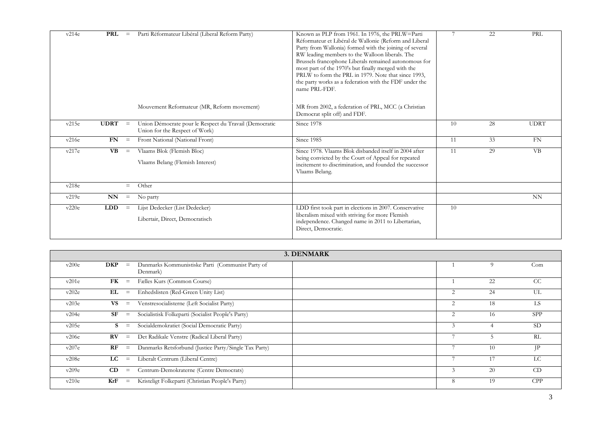| v214e | <b>PRL</b>  | $\qquad \qquad =$ | Parti Réformateur Libéral (Liberal Reform Party)                                         | Known as PLP from 1961. In 1976, the PRLW=Parti<br>Réformateur et Libéral de Wallonie (Reform and Liberal<br>Party from Wallonia) formed with the joining of several<br>RW leading members to the Walloon liberals. The<br>Brussels francophone Liberals remained autonomous for<br>most part of the 1970's but finally merged with the<br>PRLW to form the PRL in 1979. Note that since 1993,<br>the party works as a federation with the FDF under the<br>name PRL-FDF. |    | 22 | PRL         |
|-------|-------------|-------------------|------------------------------------------------------------------------------------------|---------------------------------------------------------------------------------------------------------------------------------------------------------------------------------------------------------------------------------------------------------------------------------------------------------------------------------------------------------------------------------------------------------------------------------------------------------------------------|----|----|-------------|
|       |             |                   | Mouvement Reformateur (MR, Reform movement)                                              | MR from 2002, a federation of PRL, MCC (a Christian<br>Democrat split off) and FDF.                                                                                                                                                                                                                                                                                                                                                                                       |    |    |             |
| v215e | <b>UDRT</b> | $\equiv$          | Union Démocrate pour le Respect du Travail (Democratic<br>Union for the Respect of Work) | Since 1978                                                                                                                                                                                                                                                                                                                                                                                                                                                                | 10 | 28 | <b>UDRT</b> |
| v216e | FN          | $\equiv$          | Front National (National Front)                                                          | Since 1985                                                                                                                                                                                                                                                                                                                                                                                                                                                                | 11 | 33 | <b>FN</b>   |
| v217e | <b>VB</b>   | $\equiv$          | Vlaams Blok (Flemish Bloc)<br>Vlaams Belang (Flemish Interest)                           | Since 1978. Vlaams Blok disbanded itself in 2004 after<br>being convicted by the Court of Appeal for repeated<br>incitement to discrimination, and founded the successor<br>Vlaams Belang.                                                                                                                                                                                                                                                                                | 11 | 29 | VB          |
| v218e |             | $=$               | Other                                                                                    |                                                                                                                                                                                                                                                                                                                                                                                                                                                                           |    |    |             |
| v219e | <b>NN</b>   | $\equiv$          | No party                                                                                 |                                                                                                                                                                                                                                                                                                                                                                                                                                                                           |    |    | NN          |
| v220e | <b>LDD</b>  | $\equiv$          | Lijst Dedecker (List Dedecker)<br>Libertair, Direct, Democratisch                        | LDD first took part in elections in 2007. Conservative<br>liberalism mixed with striving for more Flemish<br>independence. Changed name in 2011 to Libertarian,<br>Direct, Democratic.                                                                                                                                                                                                                                                                                    | 10 |    |             |

|       |             |                   | 3. DENMARK                                                   |   |    |               |
|-------|-------------|-------------------|--------------------------------------------------------------|---|----|---------------|
| v200e | <b>DKP</b>  | $\equiv$          | Danmarks Kommunistiske Parti (Communist Party of<br>Denmark) |   | 9  | Com           |
| v201e | <b>FK</b>   | $\equiv$          | Fælles Kurs (Common Course)                                  |   | 22 | <sub>CC</sub> |
| v202e | EL          | $\equiv$          | Enhedslisten (Red-Green Unity List)                          |   | 24 | UL            |
| v203e | <b>VS</b>   | $\equiv$          | Venstresocialisterne (Left Socialist Party)                  |   | 18 | LS            |
| v204e | SF          | $\equiv$          | Socialistisk Folkeparti (Socialist People's Party)           |   | 16 | <b>SPP</b>    |
| v205e |             | $\equiv$          | Socialdemokratiet (Social Democratic Party)                  | 3 |    | <b>SD</b>     |
| v206e | $\bf RV$    | $\equiv$          | Det Radikale Venstre (Radical Liberal Party)                 |   | h  | RL            |
| v207e | RF          | $\equiv$          | Danmarks Retsforbund (Justice Party/Single Tax Party)        |   | 10 | JΡ            |
| v208e | $_{\rm LC}$ | $\equiv$          | Liberalt Centrum (Liberal Centre)                            |   | 17 | LC.           |
| v209e | CD          | $\equiv$          | Centrum-Demokraterne (Centre Democrats)                      |   | 20 | CD            |
| v210e | KrF         | $\qquad \qquad =$ | Kristeligt Folkeparti (Christian People's Party)             | 8 | 19 | <b>CPP</b>    |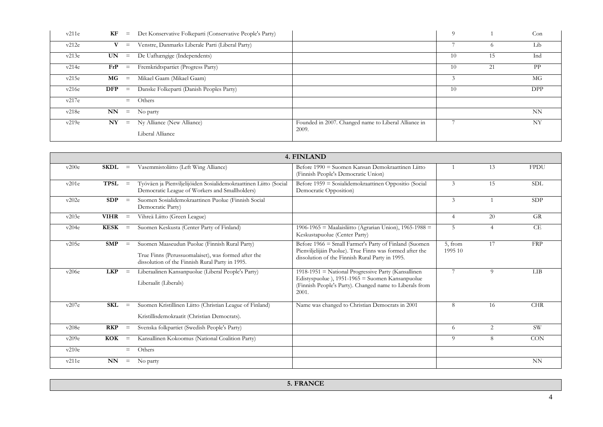| v211e | KF         | $=$      | Det Konservative Folkeparti (Conservative People's Party) |                                                      | 9  |          | Con        |
|-------|------------|----------|-----------------------------------------------------------|------------------------------------------------------|----|----------|------------|
| v212e | V          | $=$      | Venstre, Danmarks Liberale Parti (Liberal Party)          |                                                      |    | $\Omega$ | Lib        |
| v213e | UN.        | $\equiv$ | De Uafhængige (Independents)                              |                                                      | 10 | 15       | Ind        |
| v214e | FrP        | $=$      | Fremkridtspartiet (Progress Party)                        |                                                      | 10 | 21       | <b>PP</b>  |
| v215e | $MG =$     |          | Mikael Gaam (Mikael Gaam)                                 |                                                      |    |          | МG         |
| v216e | <b>DFP</b> | $=$      | Danske Folkeparti (Danish Peoples Party)                  |                                                      | 10 |          | <b>DPP</b> |
| v217e |            | $=$      | Others                                                    |                                                      |    |          |            |
| v218e | NN         | $\equiv$ | No party                                                  |                                                      |    |          | NN         |
| v219e | N Y        | $\equiv$ | Ny Alliance (New Alliance)                                | Founded in 2007. Changed name to Liberal Alliance in |    |          | NY         |
|       |            |          | Liberal Alliance                                          | 2009.                                                |    |          |            |

|       | 4. FINLAND  |                   |                                                                                                                                                         |                                                                                                                                                                            |                    |                |             |  |  |  |
|-------|-------------|-------------------|---------------------------------------------------------------------------------------------------------------------------------------------------------|----------------------------------------------------------------------------------------------------------------------------------------------------------------------------|--------------------|----------------|-------------|--|--|--|
| v200e | $SKDL =$    |                   | Vasemmistoliitto (Left Wing Alliance)                                                                                                                   | Before 1990 = Suomen Kansan Demokraattinen Liitto<br>(Finnish People's Democratic Union)                                                                                   |                    | 13             | <b>FPDU</b> |  |  |  |
| v201e | <b>TPSL</b> | $=$               | Työväen ja Pienviljelijöiden Sosialidemokraattinen Liitto (Social<br>Democratic League of Workers and Smallholders)                                     | Before 1959 = Sosialidemokraattinen Oppositio (Social<br>Democratic Opposition)                                                                                            | 3                  | 15             | <b>SDL</b>  |  |  |  |
| v202e | SDP         | $=$               | Suomen Sosialidemokraattinen Puolue (Finnish Social<br>Democratic Party)                                                                                |                                                                                                                                                                            | 3                  |                | SDP         |  |  |  |
| v203e | <b>VIHR</b> | $\equiv$          | Vihreä Liitto (Green League)                                                                                                                            |                                                                                                                                                                            | $\overline{4}$     | 20             | <b>GR</b>   |  |  |  |
| v204e | KESK        | $\equiv$          | Suomen Keskusta (Center Party of Finland)                                                                                                               | $1906-1965$ = Maalaisliitto (Agrarian Union), $1965-1988$ =<br>Keskustapuolue (Center Party)                                                                               | $\overline{5}$     | $\overline{4}$ | CE          |  |  |  |
| v205e | <b>SMP</b>  | $\equiv$          | Suomen Maaseudun Puolue (Finnish Rural Party)<br>True Finns (Perussuomalaiset), was formed after the<br>dissolution of the Finnish Rural Party in 1995. | Before 1966 = Small Farmer's Party of Finland (Suomen<br>Pienviljelijäin Puolue). True Finns was formed after the<br>dissolution of the Finnish Rural Party in 1995.       | 5, from<br>1995 10 | 17             | <b>FRP</b>  |  |  |  |
| v206e | <b>LKP</b>  | $\equiv$          | Liberaalinen Kansanpuolue (Liberal People's Party)<br>Liberaalit (Liberals)                                                                             | 1918-1951 = National Progressive Party (Kansallinen<br>Edistyspuolue), 1951-1965 = Suomen Kansanpuolue<br>(Finnish People's Party). Changed name to Liberals from<br>2001. | $\overline{7}$     | 9              | <b>LIB</b>  |  |  |  |
| v207e | SKL         | $\equiv$          | Suomen Kristillinen Liitto (Christian League of Finland)<br>Kristillisdemokraatit (Christian Democrats).                                                | Name was changed to Christian Democrats in 2001                                                                                                                            | 8                  | 16             | <b>CHR</b>  |  |  |  |
| v208e | <b>RKP</b>  | $\equiv$          | Svenska folkpartiet (Swedish People's Party)                                                                                                            |                                                                                                                                                                            | 6                  | 2              | <b>SW</b>   |  |  |  |
| v209e | <b>KOK</b>  | $\equiv$          | Kansallinen Kokoomus (National Coalition Party)                                                                                                         |                                                                                                                                                                            | $\overline{Q}$     | 8              | CON         |  |  |  |
| v210e |             | $=$               | Others                                                                                                                                                  |                                                                                                                                                                            |                    |                |             |  |  |  |
| v211e | <b>NN</b>   | $\qquad \qquad =$ | No party                                                                                                                                                |                                                                                                                                                                            |                    |                | NN          |  |  |  |

**5. FRANCE**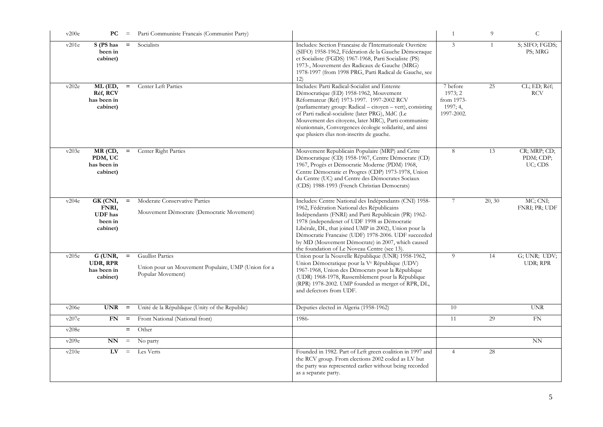| v200e | PС                                                         | $\equiv$ | Parti Communiste Francais (Communist Party)                                                         |                                                                                                                                                                                                                                                                                                                                                                                                                                   | -1                                                          | 9            | $\mathsf C$                          |
|-------|------------------------------------------------------------|----------|-----------------------------------------------------------------------------------------------------|-----------------------------------------------------------------------------------------------------------------------------------------------------------------------------------------------------------------------------------------------------------------------------------------------------------------------------------------------------------------------------------------------------------------------------------|-------------------------------------------------------------|--------------|--------------------------------------|
| v201e | S (PS has<br>been in<br>cabinet)                           | $=$      | Socialists                                                                                          | Includes: Section Francaise de l'Internationale Ouvrière<br>(SIFO) 1958-1962, Fédération de la Gauche Démocraque<br>et Socialiste (FGDS) 1967-1968, Parti Socialiste (PS)<br>1973-, Mouvement des Radicaux de Gauche (MRG)<br>1978-1997 (from 1998 PRG, Parti Radical de Gauche, see<br>12)                                                                                                                                       | 3                                                           | $\mathbf{1}$ | S; SIFO; FGDS;<br>PS; MRG            |
| v202e | ML (ED,<br>Réf, RCV<br>has been in<br>cabinet)             | $=$      | Center Left Parties                                                                                 | Includes: Parti Radical-Socialist and Entente<br>Démocratique (ED) 1958-1962, Mouvement<br>Réformateur (Réf) 1973-1997. 1997-2002 RCV<br>(parliamentary group: Radical - citoyen - vert), consisting<br>of Parti radical-socialiste (later PRG), MdC (Le<br>Mouvement des citoyens, later MRC), Parti communiste<br>réunionnais, Convergences écologie solidarité, and ainsi<br>que plusiers élus non-inscrits de gauche.         | 7 before<br>1973; 2<br>from 1973-<br>1997; 4,<br>1997-2002. | 25           | CL; ED; Réf;<br><b>RCV</b>           |
| v203e | MR (CD,<br>PDM, UC<br>has been in<br>cabinet)              | $=$      | Center Right Parties                                                                                | Mouvement Republicain Populaire (MRP) and Cetre<br>Démocratique (CD) 1958-1967, Centre Démocrate (CD)<br>1967, Progès et Démocratie Moderne (PDM) 1968,<br>Centre Démocratie et Progres (CDP) 1973-1978, Union<br>du Centre (UC) and Centre des Démocrates Sociaux<br>(CDS) 1988-1993 (French Christian Democrats)                                                                                                                | 8                                                           | 13           | CR; MRP; CD;<br>PDM; CDP;<br>UC; CDS |
| v204e | GK (CNI,<br>FNRI,<br><b>UDF</b> has<br>been in<br>cabinet) | $=$      | Moderate Conservative Parties<br>Mouvement Démocrate (Democratic Movement)                          | Includes: Centre National des Indépendants (CNI) 1958-<br>1962, Fédération National des Républicains<br>Indépendants (FNRI) and Parti Republicain (PR) 1962-<br>1978 (independenet of UDF 1998 as Démocratie<br>Libérale, DL, that joined UMP in 2002), Union pour la<br>Démocratie Francaise (UDF) 1978-2006. UDF succeeded<br>by MD (Mouvement Démocrate) in 2007, which caused<br>the foundation of Le Noveau Centre (see 13). | 7                                                           | 20, 30       | MC; CNI;<br>FNRI; PR; UDF            |
| v205e | G (UNR,<br>UDR, RPR<br>has been in<br>cabinet)             | $=$      | <b>Gaullist Parties</b><br>Union pour un Mouvement Populaire, UMP (Union for a<br>Popular Movement) | Union pour la Nouvelle République (UNR) 1958-1962,<br>Union Démocratique pour la V <sup>e</sup> République (UDV)<br>1967-1968, Union des Démocrats pour la République<br>(UDR) 1968-1978, Rassemblement pour la République<br>(RPR) 1978-2002. UMP founded as merger of RPR, DL,<br>and defectors from UDF.                                                                                                                       | 9                                                           | 14           | G; UNR; UDV;<br>UDR; RPR             |
| v206e | <b>UNR</b>                                                 | $\, =$   | Unité de la République (Unity of the Republic)                                                      | Deputies elected in Algeria (1958-1962)                                                                                                                                                                                                                                                                                                                                                                                           | 10                                                          |              | <b>UNR</b>                           |
| v207e | FN                                                         | $=$      | Front National (National front)                                                                     | 1986-                                                                                                                                                                                                                                                                                                                                                                                                                             | 11                                                          | 29           | FN                                   |
| v208e |                                                            | $=$      | Other                                                                                               |                                                                                                                                                                                                                                                                                                                                                                                                                                   |                                                             |              |                                      |
| v209e | NN                                                         | $\equiv$ | No party                                                                                            |                                                                                                                                                                                                                                                                                                                                                                                                                                   |                                                             |              | <b>NN</b>                            |
| v210e | $L_{\rm V}$                                                | $\equiv$ | Les Verts                                                                                           | Founded in 1982. Part of Left green coalition in 1997 and<br>the RCV group. From elections 2002 coded as LV but<br>the party was represented earlier without being recorded<br>as a separate party.                                                                                                                                                                                                                               | $\overline{4}$                                              | 28           |                                      |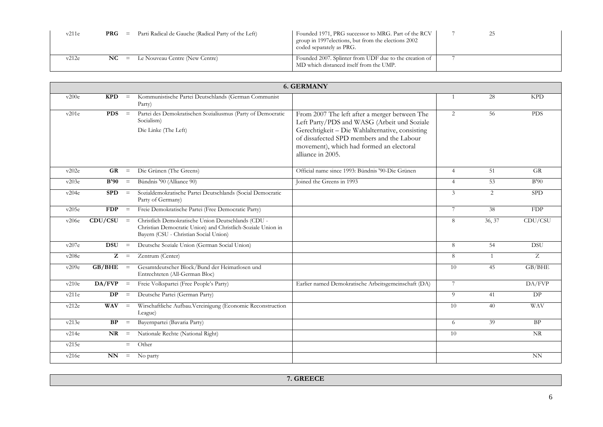| v211e | PRG | $=$      | Parti Radical de Gauche (Radical Party of the Left) | Founded 1971, PRG successor to MRG. Part of the RCV<br>I group in 1997 elections, but from the elections 2002<br>coded separately as PRG. |  |  |
|-------|-----|----------|-----------------------------------------------------|-------------------------------------------------------------------------------------------------------------------------------------------|--|--|
| v212e | NC  | $\equiv$ | Le Nouveau Centre (New Centre)                      | Founded 2007. Splinter from UDF due to the creation of<br>MD which distanced itself from the UMP.                                         |  |  |

|       | <b>6. GERMANY</b>      |          |                                                                                                                                                            |                                                                                                                                                                                                                                                               |                |        |                        |  |  |  |  |
|-------|------------------------|----------|------------------------------------------------------------------------------------------------------------------------------------------------------------|---------------------------------------------------------------------------------------------------------------------------------------------------------------------------------------------------------------------------------------------------------------|----------------|--------|------------------------|--|--|--|--|
| v200e | KPD                    | $\equiv$ | Kommunistische Partei Deutschlands (German Communist<br>Party)                                                                                             |                                                                                                                                                                                                                                                               |                | 28     | <b>KPD</b>             |  |  |  |  |
| v201e | <b>PDS</b>             | $\equiv$ | Partei des Demokratischen Sozialiusmus (Party of Democratic<br>Socialism)<br>Die Linke (The Left)                                                          | From 2007 The left after a merger between The<br>Left Party/PDS and WASG (Arbeit und Soziale<br>Gerechtigkeit - Die Wahlalternative, consisting<br>of dissafected SPD members and the Labour<br>movement), which had formed an electoral<br>alliance in 2005. | $\overline{2}$ | 56     | <b>PDS</b>             |  |  |  |  |
| v202e | <b>GR</b>              | $\equiv$ | Die Grünen (The Greens)                                                                                                                                    | Official name since 1993: Bündnis '90-Die Grünen                                                                                                                                                                                                              | $\overline{4}$ | 51     | <b>GR</b>              |  |  |  |  |
| v203e | B'90                   | $\,=\,$  | Bündnis '90 (Alliance 90)                                                                                                                                  | Joined the Greens in 1993                                                                                                                                                                                                                                     | $\overline{4}$ | 53     | B'90                   |  |  |  |  |
| v204e | <b>SPD</b>             | $\equiv$ | Sozialdemokratische Partei Deutschlands (Social Democratic<br>Party of Germany)                                                                            |                                                                                                                                                                                                                                                               | 3              | 2      | <b>SPD</b>             |  |  |  |  |
| v205e | <b>FDP</b>             | $\equiv$ | Freie Demokratische Partei (Free Democratic Party)                                                                                                         |                                                                                                                                                                                                                                                               | $7^{\circ}$    | 38     | <b>FDP</b>             |  |  |  |  |
| v206e | CDU/CSU                | $\equiv$ | Christlich Demokratische Union Deutschlands (CDU -<br>Christian Democratic Union) and Christlich-Soziale Union in<br>Bayern (CSU - Christian Social Union) |                                                                                                                                                                                                                                                               | 8              | 36, 37 | CDU/CSU                |  |  |  |  |
| v207e | <b>DSU</b>             | $\equiv$ | Deutsche Soziale Union (German Social Union)                                                                                                               |                                                                                                                                                                                                                                                               | 8              | 54     | <b>DSU</b>             |  |  |  |  |
| v208e | z                      | $\equiv$ | Zentrum (Center)                                                                                                                                           |                                                                                                                                                                                                                                                               | 8              |        | Z                      |  |  |  |  |
| v209e | GB/BHE                 | $\equiv$ | Gesamtdeutscher Block/Bund der Heimatlosen und<br>Entrechteten (All-German Bloc)                                                                           |                                                                                                                                                                                                                                                               | 10             | 45     | GB/BHE                 |  |  |  |  |
| v210e | DA/FVP                 | $\equiv$ | Freie Volkspartei (Free People's Party)                                                                                                                    | Earlier named Demokratische Arbeitsgemeinschaft (DA)                                                                                                                                                                                                          | 7              |        | DA/FVP                 |  |  |  |  |
| v211e | <b>DP</b>              | $\equiv$ | Deutsche Partei (German Party)                                                                                                                             |                                                                                                                                                                                                                                                               | 9              | 41     | DP                     |  |  |  |  |
| v212e | <b>WAV</b>             | $\equiv$ | Wirschaftliche Aufbau. Vereinigung (Economic Reconstruction<br>League)                                                                                     |                                                                                                                                                                                                                                                               | 10             | 40     | <b>WAV</b>             |  |  |  |  |
| v213e | BP                     | $\equiv$ | Bayernpartei (Bavaria Party)                                                                                                                               |                                                                                                                                                                                                                                                               | 6              | 39     | BP                     |  |  |  |  |
| v214e | NR                     | $\equiv$ | Nationale Rechte (National Right)                                                                                                                          |                                                                                                                                                                                                                                                               | 10             |        | $\overline{\text{NR}}$ |  |  |  |  |
| v215e |                        | $=$      | Other                                                                                                                                                      |                                                                                                                                                                                                                                                               |                |        |                        |  |  |  |  |
| v216e | $\mathbf{N}\mathbf{N}$ | $\equiv$ | No party                                                                                                                                                   |                                                                                                                                                                                                                                                               |                |        | NN                     |  |  |  |  |

|  | 7. GREECE |  |
|--|-----------|--|
|  |           |  |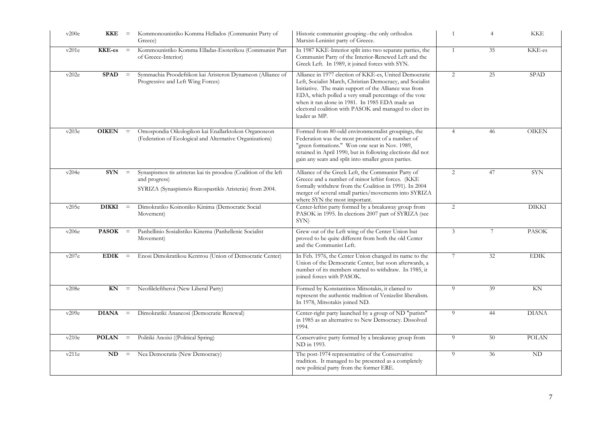| v200e | KKE           | $=$      | Kommonounistiko Komma Hellados (Communist Party of<br>Greece)                                                                                | Historic communist grouping--the only orthodox<br>Marxist-Leninist party of Greece.                                                                                                                                                                                                                                                                                 |                 | 4  | <b>KKE</b>   |
|-------|---------------|----------|----------------------------------------------------------------------------------------------------------------------------------------------|---------------------------------------------------------------------------------------------------------------------------------------------------------------------------------------------------------------------------------------------------------------------------------------------------------------------------------------------------------------------|-----------------|----|--------------|
| v201e | <b>KKE-es</b> | $\,=\,$  | Kommounistiko Komma Elladas-Esoterikou (Communist Part<br>of Greece-Interior)                                                                | In 1987 KKE-Interior split into two separate parties, the<br>Communist Party of the Interior-Renewed Left and the<br>Greek Left. In 1989, it joined forces with SYN.                                                                                                                                                                                                |                 | 35 | KKE-es       |
| v202e | <b>SPAD</b>   | $\equiv$ | Symmachia Proodeftikon kai Aristeron Dynameon (Alliance of<br>Progressive and Left Wing Forces)                                              | Alliance in 1977 election of KKE-es, United Democratic<br>Left, Socialist March, Christian Democracy, and Socialist<br>Initiative. The main support of the Alliance was from<br>EDA, which polled a very small percentage of the vote<br>when it ran alone in 1981. In 1985 EDA made an<br>electoral coalition with PASOK and managed to elect its<br>leader as MP. | 2               | 25 | <b>SPAD</b>  |
| v203e | <b>OIKEN</b>  | $\equiv$ | Omospondia Oikologikon kai Enallarktokon Organoseon<br>(Federation of Ecological and Alternative Organizations)                              | Formed from 80-odd environmentalist groupings, the<br>Federation was the most prominent of a number of<br>"green formations." Won one seat in Nov. 1989,<br>retained in April 1990, but in following elections did not<br>gain any seats and split into smaller green parties.                                                                                      | $\overline{4}$  | 46 | <b>OIKEN</b> |
| v204e | <b>SYN</b>    | $\, =$   | Synaspismos tis aristeras kai tis proodou (Coalition of the left<br>and progress)<br>SYRIZA (Synaspismós Rizospastikís Aristerás) from 2004. | Alliance of the Greek Left, the Communist Party of<br>Greece and a number of minor leftist forces. (KKE<br>formally withdrew from the Coalition in 1991). In 2004<br>merger of several small parties/movements into SYRIZA<br>where SYN the most important.                                                                                                         | 2               | 47 | <b>SYN</b>   |
| v205e | <b>DIKKI</b>  | $=$      | Dimokratiko Koinoniko Kinima (Democratic Social<br>Movement)                                                                                 | Center-leftist party formed by a breakaway group from<br>PASOK in 1995. In elections 2007 part of SYRIZA (see<br>SYN)                                                                                                                                                                                                                                               | $\overline{2}$  |    | <b>DIKKI</b> |
| v206e | <b>PASOK</b>  | $\equiv$ | Panhellinio Sosialistiko Kinema (Panhellenic Socialist<br>Movement)                                                                          | Grew out of the Left wing of the Center Union but<br>proved to be quite different from both the old Center<br>and the Communist Left.                                                                                                                                                                                                                               | $\mathfrak{Z}$  | 7  | <b>PASOK</b> |
| v207e | <b>EDIK</b>   | $=$      | Enosi Dimokratikou Kentrou (Union of Democratic Center)                                                                                      | In Feb. 1976, the Center Union changed its name to the<br>Union of the Democratic Center, but soon afterwards, a<br>number of its members started to withdraw. In 1985, it<br>joined forces with PASOK.                                                                                                                                                             | $7\phantom{.0}$ | 32 | <b>EDIK</b>  |
| v208e | KN            | $\, =$   | Neofileleftheroi (New Liberal Party)                                                                                                         | Formed by Konstantinos Mitsotakis, it clamed to<br>represent the authentic tradition of Venizelist liberalism.<br>In 1978, Mitsotakis joined ND.                                                                                                                                                                                                                    | 9               | 39 | KN           |
| v209e | <b>DIANA</b>  | $\equiv$ | Dimokratiki Ananeosi (Democratic Renewal)                                                                                                    | Center-right party launched by a group of ND "purists"<br>in 1985 as an alternative to New Democracy. Dissolved<br>1994.                                                                                                                                                                                                                                            | 9               | 44 | <b>DIANA</b> |
| v210e | <b>POLAN</b>  | $\equiv$ | Politiki Anoixi ((Political Spring)                                                                                                          | Conservative party formed by a breakaway group from<br>ND in 1993.                                                                                                                                                                                                                                                                                                  | 9               | 50 | <b>POLAN</b> |
| v211e | ND            | $\equiv$ | Nea Democratia (New Democracy)                                                                                                               | The post-1974 representative of the Conservative<br>tradition. It managed to be presented as a completely<br>new political party from the former ERE.                                                                                                                                                                                                               | 9               | 36 | <b>ND</b>    |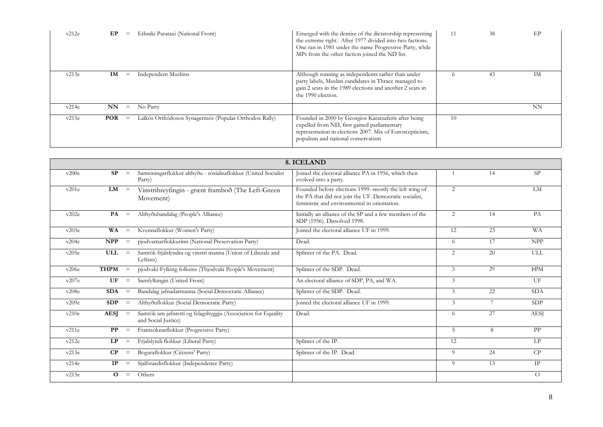| v212e | EP         | $=$ | Ethniki Parataxi (National Front)                     | Emerged with the demise of the dictatorship representing<br>the extreme right. After 1977 divided into two factions.<br>One ran in 1981 under the name Progressive Party, while<br>MPs from the other faction joined the ND list. |    | 38 | EP |
|-------|------------|-----|-------------------------------------------------------|-----------------------------------------------------------------------------------------------------------------------------------------------------------------------------------------------------------------------------------|----|----|----|
| v213e | IM         | $=$ | <b>Independent Muslims</b>                            | Although running as independents rather than under<br>party labels, Muslim candidates in Thrace managed to<br>gain 2 seats in the 1989 elections and another 2 seats in<br>the 1990 election.                                     |    | 43 | IM |
| v214e | NN         | $=$ | No Party                                              |                                                                                                                                                                                                                                   |    |    | NN |
| v215e | <b>POR</b> | $=$ | Laikós Orthódoxos Synagermós (Popular Orthodox Rally) | Founded in 2000 by Georgios Karatzaferis after being<br>expelled from ND, first gained parliamentary<br>representation in elections 2007. Mix of Euroscepticism,<br>populism and national conservatism                            | 10 |    |    |

|       |             |                   |                                                                                      | 8. ICELAND                                                                                                                                                       |                |    |             |
|-------|-------------|-------------------|--------------------------------------------------------------------------------------|------------------------------------------------------------------------------------------------------------------------------------------------------------------|----------------|----|-------------|
| v200e | SP          | $\equiv$          | Sameiningarflokkur althyðu - sósíalisaflokkur (United Socialist<br>Party)            | Joined the electoral alliance PA in 1956, which then<br>evolved into a party.                                                                                    |                | 14 | SP.         |
| v201e | LM          | $\equiv$          | Vinstrihreyfingin - grænt framboð (The Left-Green<br>Movement)                       | Founded before elections 1999--mostly the left wing of<br>the PA that did not join the UF. Democratic socialist,<br>feministic and environmental in orientation. | $\overline{2}$ |    | LM          |
| v202e | PA          | $\equiv$          | Althyðubandalag (People's Alliance)                                                  | Initially an alliance of the SP and a few members of the<br>SDP (1956). Dissolved 1998.                                                                          | 2              | 14 | PA          |
| v203e | WA          | $\equiv$          | Kvennaflokkur (Women's Party)                                                        | Joined the electoral alliance UF in 1999.                                                                                                                        | 12             | 23 | <b>WA</b>   |
| v204e | <b>NPP</b>  | $\equiv$          | pjodvarnarflokkurinn (National Preservation Party)                                   | Dead.                                                                                                                                                            | 6              | 17 | <b>NPP</b>  |
| v205e | <b>ULL</b>  | $\equiv$          | Samtök frjálslyndra og vinstri manna (Union of Liberals and<br>Leftists)             | Splinter of the PA. Dead.                                                                                                                                        | $\overline{2}$ | 20 | ULL         |
| v206e | $THPM =$    |                   | pjodvaki-Fylking folksins (Thjodvaki People's Movement)                              | Splinter of the SDP. Dead.                                                                                                                                       | 3              | 29 | <b>PPM</b>  |
| v207e | <b>UF</b>   | $\equiv$          | Samfylkingin (United Front)                                                          | An electoral alliance of SDP, PA, and WA.                                                                                                                        | 3              |    | UF          |
| v208e | <b>SDA</b>  | $\equiv$          | Bandalag jafnadarmanna (Social Democratic Alliance)                                  | Splinter of the SDP. Dead.                                                                                                                                       | 3              | 22 | <b>SDA</b>  |
| v209e | SDP         | $\equiv$          | Althyðuflokkur (Social Democratic Party)                                             | Joined the electoral alliance UF in 1999.                                                                                                                        | 3              |    | SDP         |
| v210e | <b>AESI</b> | $\equiv$          | Samtök um jafnretti og felagshyggju (Association for Equality<br>and Social Justice) | Dead.                                                                                                                                                            | 6              | 27 | <b>AESI</b> |
| v211e | $\bf PP$    | $\equiv$          | Framsóknarflokkur (Progressive Party)                                                |                                                                                                                                                                  | 5              | 8  | PP          |
| v212e | LP          | $\qquad \qquad =$ | Frjalslyndi flokkur (Liberal Party)                                                  | Splinter of the IP.                                                                                                                                              | 12             |    | LP          |
| v213e | $\bf CP$    | $\equiv$          | Bogaraflokkur (Citizens' Party)                                                      | Splinter of the IP. Dead.                                                                                                                                        | 9              | 24 | CP          |
| v214e | IP          | $\qquad \qquad =$ | Sjalfstaedisflokkur (Independence Party)                                             |                                                                                                                                                                  | 9              | 13 | IP          |
| v215e | 0           | $\equiv$          | Others                                                                               |                                                                                                                                                                  |                |    | $\Omega$    |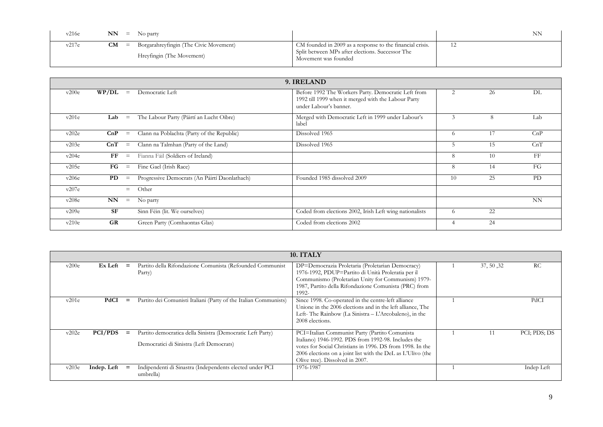| v216e | $NN =$           | No party                               |                                                                                                               |    |
|-------|------------------|----------------------------------------|---------------------------------------------------------------------------------------------------------------|----|
| v217e | <b>CM</b><br>$=$ | Borgarahreyfingin (The Civic Movement) | CM founded in 2009 as a response to the financial crisis.<br>Split between MPs after elections. Successor The | 12 |
|       |                  | Hreyfingin (The Movement)              | Movement was founded                                                                                          |    |

|       | 9. IRELAND            |          |                                               |                                                                                                                                      |          |    |           |  |  |  |
|-------|-----------------------|----------|-----------------------------------------------|--------------------------------------------------------------------------------------------------------------------------------------|----------|----|-----------|--|--|--|
| v200e | WP/DL                 | $\equiv$ | Democratic Left                               | Before 1992 The Workers Party. Democratic Left from<br>1992 till 1999 when it merged with the Labour Party<br>under Labour's banner. | 2        | 26 | DL        |  |  |  |
| v201e | Lab                   | $\equiv$ | The Labour Party (Páirtí an Lucht Oibre)      | Merged with Democratic Left in 1999 under Labour's<br>label                                                                          | 3        | 8  | Lab       |  |  |  |
| v202e | CnP                   | $\equiv$ | Clann na Poblachta (Party of the Republic)    | Dissolved 1965                                                                                                                       | $\Omega$ | 17 | CnP       |  |  |  |
| v203e | CnT                   | $\equiv$ | Clann na Talmhan (Party of the Land)          | Dissolved 1965                                                                                                                       |          | 15 | CnT       |  |  |  |
| v204e | $_{\rm FF}$           | $\equiv$ | Fianna Fáil (Soldiers of Ireland)             |                                                                                                                                      | 8        | 10 | FF        |  |  |  |
| v205e | $\mathbf{F}$ <b>G</b> | $\equiv$ | Fine Gael (Irish Race)                        |                                                                                                                                      | 8        | 14 | FG        |  |  |  |
| v206e | PD                    | $\equiv$ | Progressive Democrats (An Páirtí Daonlathach) | Founded 1985 dissolved 2009                                                                                                          | 10       | 25 | <b>PD</b> |  |  |  |
| v207e |                       | $=$      | Other                                         |                                                                                                                                      |          |    |           |  |  |  |
| v208e | NN                    | $\equiv$ | No party                                      |                                                                                                                                      |          |    | <b>NN</b> |  |  |  |
| v209e | <b>SF</b>             |          | Sinn Féin (lit. We ourselves)                 | Coded from elections 2002, Irish Left wing nationalists                                                                              | $\Omega$ | 22 |           |  |  |  |
| v210e | <b>GR</b>             |          | Green Party (Comhaontas Glas)                 | Coded from elections 2002                                                                                                            |          | 24 |           |  |  |  |

|       |                |     |                                                                                                        | 10. ITALY                                                                                                                                                                                                                                                            |            |              |
|-------|----------------|-----|--------------------------------------------------------------------------------------------------------|----------------------------------------------------------------------------------------------------------------------------------------------------------------------------------------------------------------------------------------------------------------------|------------|--------------|
| v200e | Ex Left        | $=$ | Partito della Rifondazione Comunista (Refounded Communist<br>Party)                                    | DP=Democrazia Proletaria (Proletarian Democracy)<br>1976-1992, PDUP=Partito di Unità Proleratia per il<br>Communismo (Proletarian Unity for Communism) 1979-<br>1987, Partito della Rifondazione Comunista (PRC) from<br>1992-                                       | 37, 50, 32 | <b>RC</b>    |
| v201e | PdCI           | $=$ | Partito dei Comunisti Italiani (Party of the Italian Communists)                                       | Since 1998. Co-operated in the centre-left alliance<br>Unione in the 2006 elections and in the left alliance. The<br>Left-The Rainbow (La Sinistra - L'Arcobaleno), in the<br>2008 elections.                                                                        |            | PdCI         |
| v202e | <b>PCI/PDS</b> | $=$ | Partito democratica della Sinistra (Democratic Left Party)<br>Democratici di Sinistra (Left Democrats) | PCI=Italian Communist Party (Partito Comunista<br>Italiano) 1946-1992. PDS from 1992-98. Includes the<br>votes for Social Christians in 1996. DS from 1998. In the<br>2006 elections on a joint list with the DeL as L'Ulivo (the<br>Olive tree). Dissolved in 2007. |            | PCI; PDS; DS |
| v203e | Indep. Left    | $=$ | Indipendenti di Sinastra (Independents elected under PCI<br>umbrella)                                  | 1976-1987                                                                                                                                                                                                                                                            |            | Indep Left   |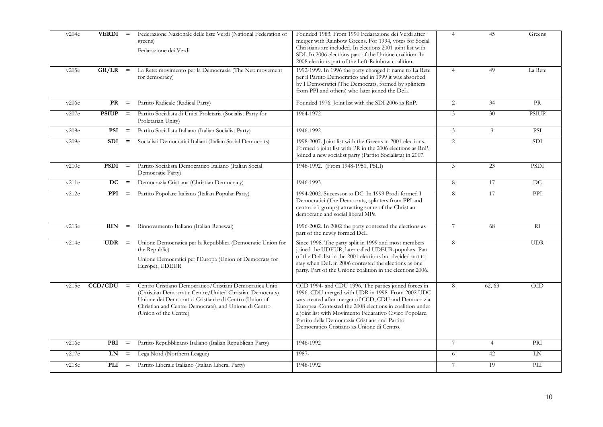| v204e | $VERDI =$    |          | Federazione Nazionale delle liste Verdi (National Federation of<br>greens)<br>Fedarazione dei Verdi                                                                                                                                                              | Founded 1983. From 1990 Fedarazione dei Verdi after<br>merger with Rainbow Greens. For 1994, votes for Social<br>Christians are included. In elections 2001 joint list with<br>SDI. In 2006 elections part of the Unione coalition. In<br>2008 elections part of the Left-Rainbow coalition.                                                                                           | $\overline{4}$ | 45             | Greens       |
|-------|--------------|----------|------------------------------------------------------------------------------------------------------------------------------------------------------------------------------------------------------------------------------------------------------------------|----------------------------------------------------------------------------------------------------------------------------------------------------------------------------------------------------------------------------------------------------------------------------------------------------------------------------------------------------------------------------------------|----------------|----------------|--------------|
| v205e | GR/LR        | $=$      | La Rete: movimento per la Democrazia (The Net: movement<br>for democracy)                                                                                                                                                                                        | 1992-1999. In 1996 the party changed it name to La Rete<br>per il Partito Democratico and in 1999 it was absorbed<br>by I Democratici (The Democrats, formed by splinters<br>from PPI and others) who later joined the DeL.                                                                                                                                                            | $\overline{4}$ | 49             | La Rete      |
| v206e | PR           | $=$      | Partito Radicale (Radical Party)                                                                                                                                                                                                                                 | Founded 1976. Joint list with the SDI 2006 as RnP.                                                                                                                                                                                                                                                                                                                                     | 2              | 34             | PR           |
| v207e | <b>PSIUP</b> | $\, =$   | Partito Socialista di Unità Proletaria (Socialist Party for<br>Proletarian Unity)                                                                                                                                                                                | 1964-1972                                                                                                                                                                                                                                                                                                                                                                              | 3              | 30             | <b>PSIUP</b> |
| v208e | <b>PSI</b>   | $=$      | Partito Socialista Italiano (Italian Socialist Party)                                                                                                                                                                                                            | 1946-1992                                                                                                                                                                                                                                                                                                                                                                              | $\mathfrak{Z}$ | 3              | <b>PSI</b>   |
| v209e | <b>SDI</b>   | $=$      | Socialisti Democratici Italiani (Italian Social Democrats)                                                                                                                                                                                                       | 1998-2007. Joint list with the Greens in 2001 elections.<br>Formed a joint list with PR in the 2006 elections as RnP.<br>Joined a new socialist party (Partito Socialista) in 2007.                                                                                                                                                                                                    | 2              |                | <b>SDI</b>   |
| v210e | <b>PSDI</b>  | $=$      | Partito Socialista Democratico Italiano (Italian Social<br>Democratic Party)                                                                                                                                                                                     | 1948-1992. (From 1948-1951, PSLI)                                                                                                                                                                                                                                                                                                                                                      | $\mathfrak{Z}$ | 23             | <b>PSDI</b>  |
| v211e | DC           | $=$      | Democrazia Cristiana (Christian Democracy)                                                                                                                                                                                                                       | 1946-1993                                                                                                                                                                                                                                                                                                                                                                              | 8              | 17             | <b>DC</b>    |
| v212e | <b>PPI</b>   | $=$      | Partito Popolare Italiano (Italian Popular Party)                                                                                                                                                                                                                | 1994-2002. Successor to DC. In 1999 Prodi formed I<br>Democratici (The Democrats, splinters from PPI and<br>centre left groups) attracting some of the Christian<br>democratic and social liberal MPs.                                                                                                                                                                                 | 8              | 17             | PPI          |
| v213e | <b>RIN</b>   | $=$      | Rinnovamento Italiano (Italian Renewal)                                                                                                                                                                                                                          | 1996-2002. In 2002 the party contested the elections as<br>part of the newly formed DeL.                                                                                                                                                                                                                                                                                               | 7              | 68             | R1           |
| v214e | <b>UDR</b>   | $=$      | Unione Democratica per la Repubblica (Democratic Union for<br>the Republic)<br>Unione Democratici per l'Europa (Union of Democrats for<br>Europe), UDEUR                                                                                                         | Since 1998. The party split in 1999 and most members<br>joined the UDEUR, later called UDEUR-populars. Part<br>of the DeL list in the 2001 elections but decided not to<br>stay when DeL in 2006 contested the elections as one<br>party. Part of the Unione coalition in the elections 2006.                                                                                          | 8              |                | <b>UDR</b>   |
| v215e | CCD/CDU      | $=$      | Centro Cristiano Democratico/Cristiani Democratica Uniti<br>(Christian Democratic Centre/United Christian Democrats)<br>Unione dei Democratici Cristiani e di Centro (Union of<br>Christian and Centre Democrats), and Unione di Centro<br>(Union of the Centre) | CCD 1994- and CDU 1996. The parties joined forces in<br>1996. CDU merged with UDR in 1998. From 2002 UDC<br>was created after merger of CCD, CDU and Democrazia<br>Europea. Contested the 2008 elections in coalition under<br>a joint list with Movimento Fedarativo Civico Popolare,<br>Partito della Democrazia Cristiana and Partito<br>Democratico Cristiano as Unione di Centro. | 8              | 62, 63         | <b>CCD</b>   |
| v216e | PRI          | $=$      | Partito Repubblicano Italiano (Italian Republican Party)                                                                                                                                                                                                         | 1946-1992                                                                                                                                                                                                                                                                                                                                                                              | 7              | $\overline{4}$ | PRI          |
| v217e | LN           | $\equiv$ | Lega Nord (Northern League)                                                                                                                                                                                                                                      | 1987-                                                                                                                                                                                                                                                                                                                                                                                  | 6              | 42             | LN           |
| v218e | PLI          | $=$      | Partito Liberale Italiano (Italian Liberal Party)                                                                                                                                                                                                                | 1948-1992                                                                                                                                                                                                                                                                                                                                                                              | 7              | 19             | PLI          |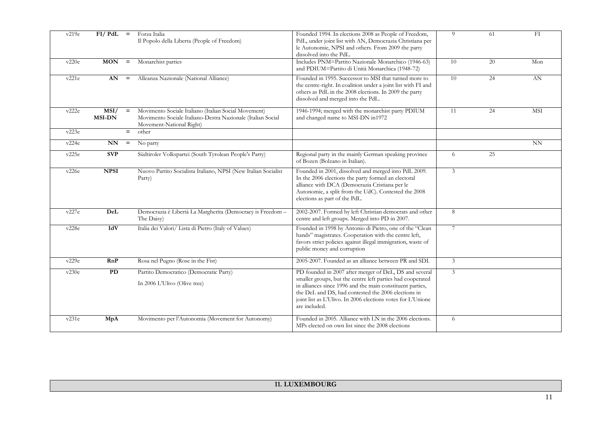| v219e | $FI/ PdL =$           |        | Forza Italia<br>Il Popolo della Liberta (People of Freedom)                                                                                     | Founded 1994. In elections 2008 as People of Freedom,<br>PdL, under joint list with AN, Democrazia Christiana per<br>le Autonomie, NPSI and others. From 2009 the party<br>dissolved into the PdL.                                                                                                                       | 9               | 61 | FI         |
|-------|-----------------------|--------|-------------------------------------------------------------------------------------------------------------------------------------------------|--------------------------------------------------------------------------------------------------------------------------------------------------------------------------------------------------------------------------------------------------------------------------------------------------------------------------|-----------------|----|------------|
| v220e | $MON =$               |        | Monarchist parties                                                                                                                              | Includes PNM=Partito Nazionale Monarchico (1946-63)<br>and PDIUM=Partito di Unità Monarchica (1948-72)                                                                                                                                                                                                                   | 10              | 20 | Mon        |
| v221e | AN                    | $\, =$ | Alleanza Nazionale (National Alliance)                                                                                                          | Founded in 1995. Successor to MSI that turned more to<br>the centre-right. In coalition under a joint list with FI and<br>others as PdL in the 2008 elections. In 2009 the party<br>dissolved and merged into the PdL.                                                                                                   | 10              | 24 | AN         |
| v222e | MSI/<br><b>MSI-DN</b> | $=$    | Movimento Sociale Italiano (Italian Social Movement)<br>Movimento Sociale Italiano-Destra Nazionale (Italian Social<br>Movement-National Right) | 1946-1994; merged with the monarchist party PDIUM<br>and changed name to MSI-DN in1972                                                                                                                                                                                                                                   | 11              | 24 | <b>MSI</b> |
| v223e |                       | $=$    | other                                                                                                                                           |                                                                                                                                                                                                                                                                                                                          |                 |    |            |
| v224e | NN                    | $=$    | No party                                                                                                                                        |                                                                                                                                                                                                                                                                                                                          |                 |    | NN         |
| v225e | SVP                   |        | Südtiroler Volkspartei (South Tyrolean People's Party)                                                                                          | Regional party in the mainly German speaking province<br>of Bozen (Bolzano in Italian).                                                                                                                                                                                                                                  | 6               | 25 |            |
| v226e | <b>NPSI</b>           |        | Nuovo Partito Socialista Italiano, NPSI (New Italian Socialist<br>Party)                                                                        | Founded in 2001, dissolved and merged into PdL 2009.<br>In the 2006 elections the party formed an electoral<br>alliance with DCA (Democrazia Cristiana per le<br>Autonomie, a split from the UdC). Contested the 2008<br>elections as part of the PdL.                                                                   | $\mathfrak{Z}$  |    |            |
| v227e | DeL                   |        | Democrazia è Libertà La Margherita (Democracy is Freedom -<br>The Daisy)                                                                        | 2002-2007. Formed by left Christian democrats and other<br>centre and left groups. Merged into PD in 2007.                                                                                                                                                                                                               | 8               |    |            |
| v228e | IdV                   |        | Italia dei Valori/ Lista di Pietro (Italy of Values)                                                                                            | Founded in 1998 by Antonio di Pietro, one of the "Clean<br>hands" magistrates. Cooperation with the centre left,<br>favors strict policies against illegal immigration, waste of<br>public money and corruption                                                                                                          | $7\phantom{.0}$ |    |            |
| v229e | RnP                   |        | Rosa nel Pugno (Rose in the Fist)                                                                                                               | 2005-2007. Founded as an alliance between PR and SDI.                                                                                                                                                                                                                                                                    | 3               |    |            |
| v230e | PD                    |        | Partito Democratico (Democratic Party)<br>In 2006 L'Ulivo (Olive tree)                                                                          | PD founded in 2007 after merger of DeL, DS and several<br>smaller groups, but the centre left parties had cooperated<br>in alliances since 1996 and the main constituent parties,<br>the DeL and DS, had contested the 2006 elections in<br>joint list as L'Ulivo. In 2006 elections votes for L'Unione<br>are included. | 3               |    |            |
| v231e | MpA                   |        | Movimento per l'Autonomia (Movement for Autonomy)                                                                                               | Founded in 2005. Alliance with LN in the 2006 elections.<br>MPs elected on own list since the 2008 elections                                                                                                                                                                                                             | 6               |    |            |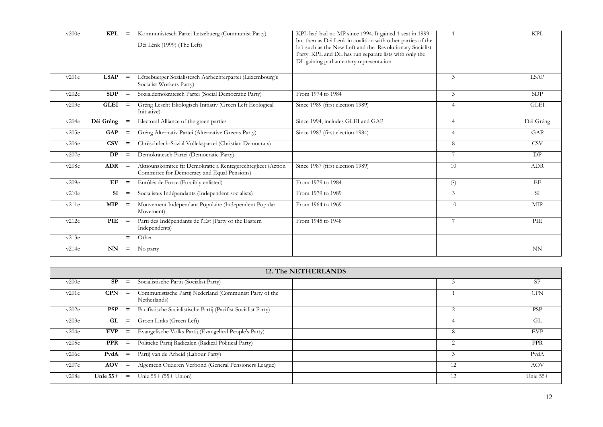| v200e | KPL         | $\qquad \qquad =$ | Kommunistesch Partei Lëtzebuerg (Communist Party)<br>Déi Lénk (1999) (The Left)                            | KPL had had no MP since 1994. It gained 1 seat in 1999<br>but then as Déi Lénk in coalition with other parties of the<br>left such as the New Left and the Revolutionary Socialist<br>Party. KPL and DL has run separate lists with only the<br>DL gaining parliamentary representation |                | <b>KPL</b>  |
|-------|-------------|-------------------|------------------------------------------------------------------------------------------------------------|-----------------------------------------------------------------------------------------------------------------------------------------------------------------------------------------------------------------------------------------------------------------------------------------|----------------|-------------|
| v201e | <b>LSAP</b> | $\qquad \qquad =$ | Lëtzebuerger Sozialistesch Aarbechterpartei (Luxembourg's<br>Socialist Workers Party)                      |                                                                                                                                                                                                                                                                                         | 3              | <b>LSAP</b> |
| v202e | SDP         | $=$               | Sozialdemokratesch Partei (Social Democratic Party)                                                        | From 1974 to 1984                                                                                                                                                                                                                                                                       | 3              | SDP         |
| v203e | <b>GLEI</b> | $\qquad \qquad =$ | Gréng Lëscht Ekologisch Initiativ (Green Left Ecological<br>Initiative)                                    | Since 1989 (first election 1989)                                                                                                                                                                                                                                                        | $\overline{4}$ | <b>GLEI</b> |
| v204e | Déi Gréng   | $=$               | Electoral Alliance of the green parties                                                                    | Since 1994, includes GLEI and GAP                                                                                                                                                                                                                                                       | $\overline{4}$ | Déi Gréng   |
| v205e | <b>GAP</b>  | $\qquad \qquad =$ | Gréng Alternativ Partei (Alternative Greens Party)                                                         | Since 1983 (first election 1984)                                                                                                                                                                                                                                                        | 4              | GAP         |
| v206e | <b>CSV</b>  | $=$               | Chrëschtlech-Sozial Vollekspartei (Christian Democrats)                                                    |                                                                                                                                                                                                                                                                                         | 8              | <b>CSV</b>  |
| v207e | DP          | $\qquad \qquad =$ | Demokratesch Partei (Democratic Party)                                                                     |                                                                                                                                                                                                                                                                                         | 7              | DP          |
| v208e | <b>ADR</b>  | $\qquad \qquad =$ | Aktiounskomitee fir Demokratie a Rentegerechtegkeet (Action<br>Committee for Democracy and Equal Pensions) | Since 1987 (first election 1989)                                                                                                                                                                                                                                                        | 10             | <b>ADR</b>  |
| v209e | EF          | $\qquad \qquad =$ | Enrôlés de Force (Forcibly enlisted)                                                                       | From 1979 to 1984                                                                                                                                                                                                                                                                       | (?)            | EF          |
| v210e | SI          | $\qquad \qquad =$ | Socialistes Indépendants (Independent socialists)                                                          | From 1979 to 1989                                                                                                                                                                                                                                                                       | 3              | SI          |
| v211e | <b>MIP</b>  | $\qquad \qquad =$ | Mouvement Indépendant Populaire (Independent Popular<br>Movement)                                          | From 1964 to 1969                                                                                                                                                                                                                                                                       | 10             | MIP         |
| v212e | PIE         | $\qquad \qquad =$ | Parti des Indépendants de l'Est (Party of the Eastern<br>Independents)                                     | From 1945 to 1948                                                                                                                                                                                                                                                                       | 7              | PIE         |
| v213e |             | $=$               | Other                                                                                                      |                                                                                                                                                                                                                                                                                         |                |             |
| v214e | NN          | $=$               | No party                                                                                                   |                                                                                                                                                                                                                                                                                         |                | <b>NN</b>   |

|       | 12. The NETHERLANDS |                   |                                                                         |  |    |            |  |  |  |
|-------|---------------------|-------------------|-------------------------------------------------------------------------|--|----|------------|--|--|--|
| v200e | SP                  | $=$               | Socialistische Partij (Socialist Party)                                 |  |    | SP.        |  |  |  |
| v201e | <b>CPN</b>          | $\equiv$          | Communistische Partij Nederland (Communist Party of the<br>Netherlands) |  |    | <b>CPN</b> |  |  |  |
| v202e | <b>PSP</b>          | $\qquad \qquad =$ | Pacifistische Socialistische Partij (Pacifist Socialist Party)          |  |    | <b>PSP</b> |  |  |  |
| v203e | GL                  | $=$               | Groen Links (Green Left)                                                |  |    | GL         |  |  |  |
| v204e | EVP                 | $=$               | Evangelische Volks Partij (Evangelical People's Party)                  |  | 8  | <b>EVP</b> |  |  |  |
| v205e | PPR                 | $=$               | Politieke Partij Radicalen (Radical Political Party)                    |  |    | <b>PPR</b> |  |  |  |
| v206e | PvdA                | $=$               | Partij van de Arbeid (Labour Party)                                     |  |    | PvdA       |  |  |  |
| v207e | <b>AOV</b>          | $\equiv$          | Algemeen Ouderen Verbond (General Pensioners League)                    |  | 12 | <b>AOV</b> |  |  |  |
| v208e | Unie $55+$          | $=$               | Unie 55+ (55+ Union)                                                    |  | 12 | Unie $55+$ |  |  |  |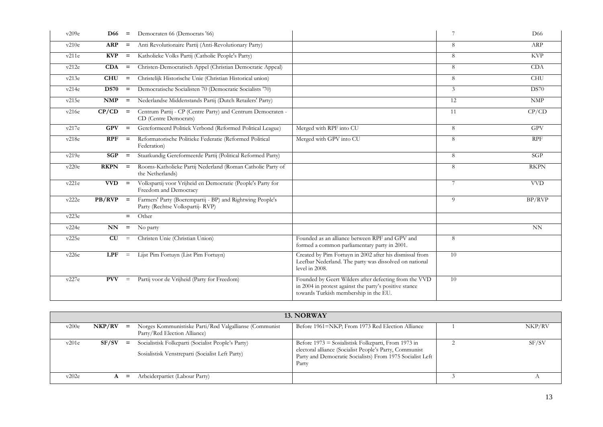| v209e | <b>D66</b>  | $=$      | Democraten 66 (Democrats '66)                                                                |                                                                                                                                                          | $\overline{7}$ | D <sub>66</sub>           |
|-------|-------------|----------|----------------------------------------------------------------------------------------------|----------------------------------------------------------------------------------------------------------------------------------------------------------|----------------|---------------------------|
| v210e | <b>ARP</b>  | $=$      | Anti Revolutionaire Partij (Anti-Revolutionary Party)                                        |                                                                                                                                                          | 8              | ARP                       |
| v211e | KVP         | $=$      | Katholieke Volks Partij (Catholic People's Party)                                            |                                                                                                                                                          | 8              | <b>KVP</b>                |
| v212e | CDA         | $=$      | Christen-Democratisch Appel (Christian Democratic Appeal)                                    |                                                                                                                                                          | 8              | <b>CDA</b>                |
| v213e | <b>CHU</b>  | $=$      | Christelijk Historische Unie (Christian Historical union)                                    |                                                                                                                                                          | 8              | <b>CHU</b>                |
| v214e | <b>DS70</b> | $=$      | Democratische Socialisten 70 (Democratic Socialists '70)                                     |                                                                                                                                                          | 3              | <b>DS70</b>               |
| v215e | <b>NMP</b>  | $=$      | Nederlandse Middenstands Partij (Dutch Retailers' Party)                                     |                                                                                                                                                          | 12             | $\ensuremath{\text{NMP}}$ |
| v216e | CP/CD       | $=$      | Centrum Partij - CP (Centre Party) and Centrum Democraten -<br>CD (Centre Democrats)         |                                                                                                                                                          | 11             | CP/CD                     |
| v217e | <b>GPV</b>  | $=$      | Gereformeerd Politiek Verbond (Reformed Political League)                                    | Merged with RPF into CU                                                                                                                                  | 8              | <b>GPV</b>                |
| v218e | <b>RPF</b>  | $=$      | Reformatorische Politieke Federatie (Reformed Political<br>Federation)                       | Merged with GPV into CU                                                                                                                                  | 8              | <b>RPF</b>                |
| v219e | SGP         | $=$      | Staatkundig Gereformeerde Partij (Political Reformed Party)                                  |                                                                                                                                                          | 8              | SGP                       |
| v220e | <b>RKPN</b> | $=$      | Rooms-Katholieke Partij Nederland (Roman Catholic Party of<br>the Netherlands)               |                                                                                                                                                          | 8              | <b>RKPN</b>               |
| v221e | $VVD =$     |          | Volkspartij voor Vrijheid en Democratie (People's Party for<br>Freedom and Democracy         |                                                                                                                                                          | 7              | <b>VVD</b>                |
| v222e | $PB/RVP =$  |          | Farmers' Party (Boerempartij - BP) and Rightwing People's<br>Party (Rechtse Volkspartij-RVP) |                                                                                                                                                          | $\overline{Q}$ | BP/RVP                    |
| v223e |             | $=$      | Other                                                                                        |                                                                                                                                                          |                |                           |
| v224e | NN          | $=$      | No party                                                                                     |                                                                                                                                                          |                | NN                        |
| v225e | CU          | $\equiv$ | Christen Unie (Christian Union)                                                              | Founded as an alliance between RPF and GPV and<br>formed a common parliamentary party in 2001.                                                           | 8              |                           |
| v226e | LPF         | $\equiv$ | Lijst Pim Fortuyn (List Pim Fortuyn)                                                         | Created by Pim Fortuyn in 2002 after his dismissal from<br>Leefbar Nederland. The party was dissolved on national<br>level in 2008.                      | 10             |                           |
| v227e | <b>PVV</b>  | $\equiv$ | Partij voor de Vrijheid (Party for Freedom)                                                  | Founded by Geert Wilders after defecting from the VVD<br>in 2004 in protest against the party's positive stance<br>towards Turkish membership in the EU. | 10             |                           |

|       | <b>13. NORWAY</b> |     |                                                                                                        |                                                                                                                                                                                      |  |        |  |  |  |
|-------|-------------------|-----|--------------------------------------------------------------------------------------------------------|--------------------------------------------------------------------------------------------------------------------------------------------------------------------------------------|--|--------|--|--|--|
| v200e | NKP/RV            | $=$ | Norges Kommunistiske Parti/Rød Valgallianse (Communist<br>Party/Red Election Alliance)                 | Before 1961=NKP; From 1973 Red Election Alliance                                                                                                                                     |  | NKP/RV |  |  |  |
| v201e | SF/SV             | $=$ | Socialistisk Folkeparti (Socialist People's Party)<br>Sosialistisk Venstreparti (Socialist Left Party) | Before 1973 = Sosialistisk Folkeparti, From 1973 in<br>electoral alliance (Socialist People's Party, Communist<br>Party and Democratic Socialists) From 1975 Socialist Left<br>Party |  | SF/SV  |  |  |  |
| v202e | A                 | $=$ | Arbeiderpartiet (Labour Party)                                                                         |                                                                                                                                                                                      |  |        |  |  |  |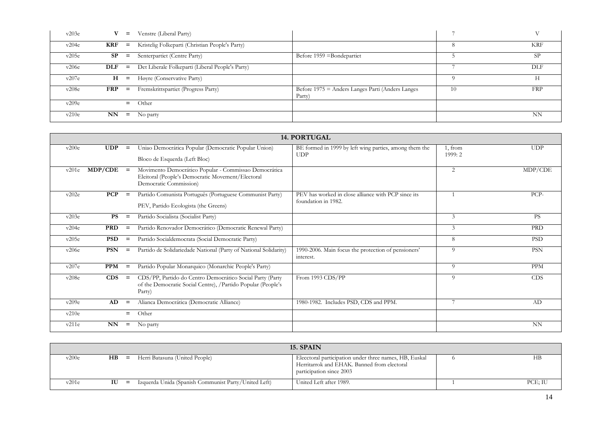| v203e |            | $=$   | Venstre (Liberal Party)                          |                                                            |    |            |
|-------|------------|-------|--------------------------------------------------|------------------------------------------------------------|----|------------|
| v204e | KRF        | $=$   | Kristelig Folkeparti (Christian People's Party)  |                                                            |    | <b>KRF</b> |
| v205e | SP         | $=$   | Senterpartiet (Centre Party)                     | Before $1959$ =Bondepartiet                                |    | SP.        |
| v206e | $DLF =$    |       | Det Liberale Folkeparti (Liberal People's Party) |                                                            |    | <b>DLF</b> |
| v207e |            | $H =$ | Høyre (Conservative Party)                       |                                                            |    |            |
| v208e | <b>FRP</b> | $=$   | Fremskrittspartiet (Progress Party)              | Before 1975 = Anders Langes Parti (Anders Langes<br>Party) | 10 | <b>FRP</b> |
| v209e |            | $=$   | Other                                            |                                                            |    |            |
| v210e | NN         | $=$   | No party                                         |                                                            |    | <b>NN</b>  |

|       |             |          |                                                                                                                                      | <b>14. PORTUGAL</b>                                                        |                    |            |
|-------|-------------|----------|--------------------------------------------------------------------------------------------------------------------------------------|----------------------------------------------------------------------------|--------------------|------------|
| v200e | <b>UDP</b>  | $=$      | Uniao Democrática Popular (Democratic Popular Union)<br>Bloco de Esquerda (Left Bloc)                                                | BE formed in 1999 by left wing parties, among them the<br><b>UDP</b>       | 1, from<br>1999: 2 | <b>UDP</b> |
| v201e | $MDP/CDE =$ |          | Movimento Democrático Popular - Commissao Democrática<br>Eleitoral (People's Democratic Movement/Electoral<br>Democratic Commission) |                                                                            | 2                  | MDP/CDE    |
| v202e | <b>PCP</b>  | $=$      | Partido Comunista Português (Portuguese Communist Party)<br>PEV, Partido Ecologista (the Greens)                                     | PEV has worked in close alliance with PCP since its<br>foundation in 1982. |                    | PCP-       |
| v203e | <b>PS</b>   | $=$      | Partido Socialista (Socialist Party)                                                                                                 |                                                                            | 3                  | <b>PS</b>  |
| v204e | <b>PRD</b>  | $=$      | Partido Renovador Democrático (Democratic Renewal Party)                                                                             |                                                                            | 3                  | <b>PRD</b> |
| v205e | <b>PSD</b>  | $=$      | Partido Socialdemocrata (Social Democratic Party)                                                                                    |                                                                            | 8                  | <b>PSD</b> |
| v206e | <b>PSN</b>  | $=$      | Partido de Solidariedade National (Party of National Solidarity)                                                                     | 1990-2006. Main focus the protection of pensioners'<br>interest.           | 9                  | <b>PSN</b> |
| v207e | <b>PPM</b>  | $\equiv$ | Partido Popular Monarquico (Monarchic People's Party)                                                                                |                                                                            | $\Omega$           | <b>PPM</b> |
| v208e | CDS         | $=$      | CDS/PP, Partido do Centro Democrático Social Party (Party<br>of the Democratic Social Centre), /Partido Popular (People's<br>Party)  | From 1993 CDS/PP                                                           | 9                  | <b>CDS</b> |
| v209e | AD          | $=$      | Alianca Democrática (Democratic Alliance)                                                                                            | 1980-1982. Includes PSD, CDS and PPM.                                      | $\overline{7}$     | AD         |
| v210e |             | $=$      | Other                                                                                                                                |                                                                            |                    |            |
| v211e | NN          | $=$      | No party                                                                                                                             |                                                                            |                    | <b>NN</b>  |

|       |            |                                                      | 15. SPAIN                                                                                                                         |         |
|-------|------------|------------------------------------------------------|-----------------------------------------------------------------------------------------------------------------------------------|---------|
| v200e | H B<br>$=$ | Herri Batasuna (United People)                       | Elecctoral participation under three names, HB, Euskal<br>Herritarrok and EHAK. Banned from electoral<br>participation since 2003 | НB      |
| v201e | IU<br>$=$  | Izquerda Unida (Spanish Communist Party/United Left) | United Left after 1989.                                                                                                           | PCE; IU |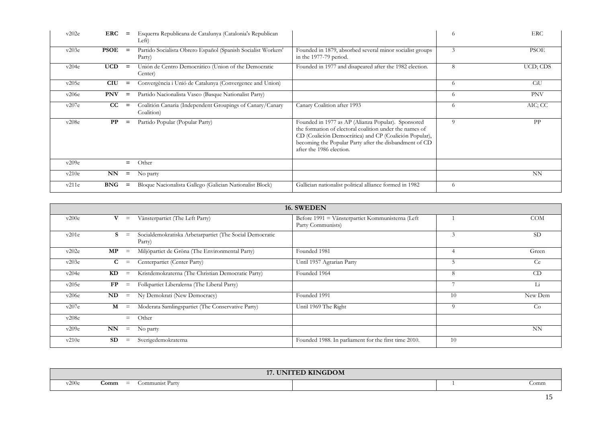| v202e | ERC         | $=$      | Esquerra Republicana de Catalunya (Catalonia's Republican<br>Left)      |                                                                                                                                                                                                                                                               | 6        | <b>ERC</b>  |
|-------|-------------|----------|-------------------------------------------------------------------------|---------------------------------------------------------------------------------------------------------------------------------------------------------------------------------------------------------------------------------------------------------------|----------|-------------|
| v203e | <b>PSOE</b> | $=$      | Partido Socialista Obrero Español (Spanish Socialist Workers'<br>Party) | Founded in 1879, absorbed several minor socialist groups<br>in the 1977-79 period.                                                                                                                                                                            | 3        | <b>PSOE</b> |
| v204e | <b>UCD</b>  | $\equiv$ | Unión de Centro Democrático (Union of the Democratic<br>Center)         | Founded in 1977 and disapeared after the 1982 election.                                                                                                                                                                                                       | 8        | UCD; CDS    |
| v205e | <b>CIU</b>  | $\equiv$ | Convergència i Unió de Catalunya (Convergence and Union)                |                                                                                                                                                                                                                                                               | 6        | CiU         |
| v206e | <b>PNV</b>  | $\equiv$ | Partido Nacionalista Vasco (Basque Nationalist Party)                   |                                                                                                                                                                                                                                                               | 6        | <b>PNV</b>  |
| v207e | cc          | $\equiv$ | Coalitión Canaria (Independent Groupings of Canary/Canary<br>Coalition) | Canary Coalition after 1993                                                                                                                                                                                                                                   | 6        | AIC; CC     |
| v208e | PP          | $\equiv$ | Partido Popular (Popular Party)                                         | Founded in 1977 as AP (Alianza Popular). Sponsored<br>the formation of electoral coalition under the names of<br>CD (Coalición Democrática) and CP (Coalición Popular),<br>becoming the Popular Party after the disbandment of CD<br>after the 1986 election. | $\Omega$ | <b>PP</b>   |
| v209e |             | $=$      | Other                                                                   |                                                                                                                                                                                                                                                               |          |             |
| v210e | NN          | $=$      | No party                                                                |                                                                                                                                                                                                                                                               |          | <b>NN</b>   |
| v211e | <b>BNG</b>  | $\equiv$ | Bloque Nacionalista Gallego (Galician Nationalist Block)                | Gallician nationalist political alliance formed in 1982                                                                                                                                                                                                       | 6        |             |

|       |           |          |                                                                    | 16. SWEDEN                                                            |                |            |
|-------|-----------|----------|--------------------------------------------------------------------|-----------------------------------------------------------------------|----------------|------------|
| v200e | v         | $\equiv$ | Vänsterpartiet (The Left Party)                                    | Before 1991 = Vänsterpartiet Kommunisterna (Left<br>Party Communists) |                | <b>COM</b> |
| v201e | s         | $\equiv$ | Socialdemokratiska Arbetarpartiet (The Social Democratic<br>Party) |                                                                       | 3              | <b>SD</b>  |
| v202e | MP        | $\equiv$ | Miljöpartiet de Gröna (The Environmental Party)                    | Founded 1981                                                          | $\overline{4}$ | Green      |
| v203e | C         | $\equiv$ | Centerpartiet (Center Party)                                       | Until 1957 Agrarian Party                                             |                | Ce         |
| v204e | KD        | $\equiv$ | Kristdemokraterna (The Christian Democratic Party)                 | Founded 1964                                                          | 8              | CD         |
| v205e | FP        | $\equiv$ | Folkpartiet Liberalerna (The Liberal Party)                        |                                                                       |                | Li         |
| v206e | ND        | $=$      | Ny Demokrati (New Democracy)                                       | Founded 1991                                                          | 10             | New Dem    |
| v207e | М         | $\equiv$ | Moderata Samlingspartiet (The Conservative Party)                  | Until 1969 The Right                                                  | 9              | Co         |
| v208e |           | $=$      | Other                                                              |                                                                       |                |            |
| v209e | NN        | $=$      | No party                                                           |                                                                       |                | <b>NN</b>  |
| v210e | <b>SD</b> | $\equiv$ | Sverigedemokraterna                                                | Founded 1988. In parliament for the first time 2010.                  | 10             |            |

|                                         | <b>17. UNITED KINGDOM</b> |      |
|-----------------------------------------|---------------------------|------|
| v200e<br>$=$<br>Comm<br>Communist Party |                           | Jomm |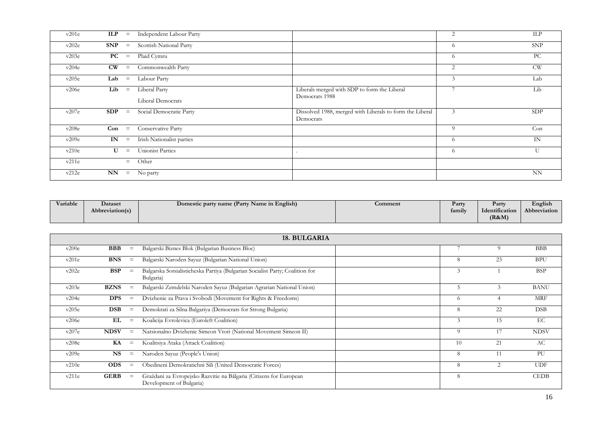| v201e | <b>ILP</b><br>$=$                  | Independent Labour Party           |                                                                       | $\overline{2}$ | ILP        |
|-------|------------------------------------|------------------------------------|-----------------------------------------------------------------------|----------------|------------|
| v202e | <b>SNP</b><br>$=$                  | Scottish National Party            |                                                                       | 6              | <b>SNP</b> |
| v203e | PC<br>$=$                          | Plaid Cymru                        |                                                                       | 6              | PC         |
| v204e | $\mathbf{C}\mathbf{W}$<br>$\equiv$ | Commonwealth Party                 |                                                                       | 2              | <b>CW</b>  |
| v205e | Lab<br>$=$                         | Labour Party                       |                                                                       | 3              | Lab        |
| v206e | Lib<br>$=$                         | Liberal Party<br>Liberal Democrats | Liberals merged with SDP to form the Liberal<br>Democrats 1988        |                | Lib        |
| v207e | SDP<br>$\, =$                      | Social Democratic Party            | Dissolved 1988, merged with Liberals to form the Liberal<br>Democrats | 3              | <b>SDP</b> |
| v208e | $Con =$                            | Conservative Party                 |                                                                       | 9              | Con        |
| v209e | IN<br>$\equiv$                     | Irish Nationalist parties          |                                                                       | 6              | IN         |
| v210e | $\mathbf{U}$<br>$\equiv$           | <b>Unionist Parties</b>            |                                                                       | 6              | U          |
| v211e | $=$                                | Other                              |                                                                       |                |            |
| v212e | NN<br>$\equiv$                     | No party                           |                                                                       |                | <b>NN</b>  |

| Variable | Dataset         | Domestic party name (Party Name in English) | <b>Comment</b> | Party  | Party          | English      |
|----------|-----------------|---------------------------------------------|----------------|--------|----------------|--------------|
|          | Abbreviation(s) |                                             |                | family | Identification | Abbreviation |
|          |                 |                                             |                |        | (R&M)          |              |

|       |             |                   | 18. BULGARIA                                                                                   |          |                |             |
|-------|-------------|-------------------|------------------------------------------------------------------------------------------------|----------|----------------|-------------|
| v200e | <b>BBB</b>  | $\equiv$          | Balgarski Biznes Blok (Bulgarian Business Bloc)                                                |          | 9              | <b>BBB</b>  |
| v201e | <b>BNS</b>  | $\equiv$          | Balgarski Naroden Sayuz (Bulgarian National Union)                                             | 8        | 23             | <b>BPU</b>  |
| v202e | <b>BSP</b>  | $\equiv$          | Balgarska Sotsialisticheska Partiya (Bulgarian Socialist Party; Coalition for<br>Bulgaria)     | 3        |                | <b>BSP</b>  |
| v203e | <b>BZNS</b> | $=$               | Balgarski Zemdelski Naroden Sayuz (Bulgarian Agrarian National Union)                          | 5        | 3              | <b>BANU</b> |
| v204e | <b>DPS</b>  | $\equiv$          | Dvizhenie za Prava i Svobodi (Movement for Rights & Freedoms)                                  | -6       | $\overline{4}$ | <b>MRF</b>  |
| v205e | <b>DSB</b>  | $\equiv$          | Demokrati za Silna Balgariya (Democrats for Strong Bulgaria)                                   | 8        | 22             | <b>DSB</b>  |
| v206e | EL          | $\equiv$          | Koalicija Evrolevica (Euroleft Coalition)                                                      | 3        | 15             | EC          |
| v207e | <b>NDSV</b> | $\equiv$          | Natsionalno Dvizhenie Simeon Vtori (National Movement Simeon II)                               | $\Omega$ | 17             | <b>NDSV</b> |
| v208e | KA          | $\equiv$          | Koalitsiya Ataka (Attack Coalition)                                                            | 10       | 21             | AC          |
| v209e | <b>NS</b>   | $\equiv$          | Naroden Sayuz (People's Union)                                                                 | 8        | 11             | PU          |
| v210e | <b>ODS</b>  | $\qquad \qquad =$ | Obedineni Demokratichni Sili (United Democratic Forces)                                        | 8        | $\overline{2}$ | <b>UDF</b>  |
| v211e | <b>GERB</b> | $\equiv$          | Graždani za Evropejsko Razvitie na Bălgaria (Citizens for European<br>Development of Bulgaria) | 8        |                | <b>CEDB</b> |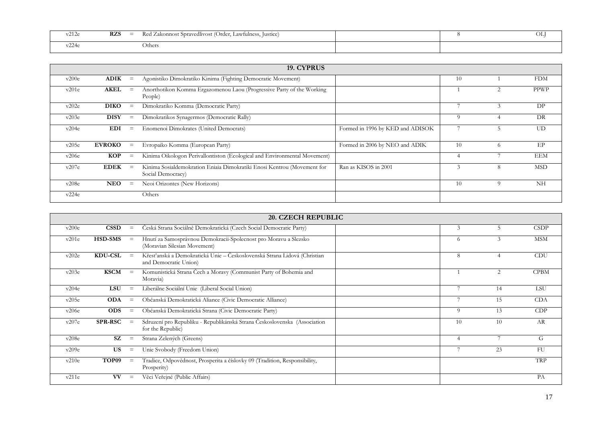| $\sim$ $\sim$<br>$-1$<br>∨∠⊥∠(                     | <b>RZS</b><br>$\hspace{0.05cm}$<br>___ | Red Zakonnost Spravedlivost (<br>: (Order, Lawfulness,<br>ustice |  | ОL |
|----------------------------------------------------|----------------------------------------|------------------------------------------------------------------|--|----|
| nn,<br>-- 1<br>$^{\prime}$ $^{\prime}$ $^{\prime}$ |                                        | <b>)thers</b>                                                    |  |    |

|       |               |                   | 19. CYPRUS                                                                                   |                                  |               |                |             |
|-------|---------------|-------------------|----------------------------------------------------------------------------------------------|----------------------------------|---------------|----------------|-------------|
| v200e | <b>ADIK</b>   | $\qquad \qquad =$ | Agonistiko Dimokratiko Kinima (Fighting Democratic Movement)                                 |                                  | 10            |                | <b>FDM</b>  |
| v201e | <b>AKEL</b>   | $\qquad \qquad =$ | Anorthotikon Komma Ergazomenou Laou (Progressive Party of the Working<br>People)             |                                  |               | $\overline{c}$ | <b>PPWP</b> |
| v202e | <b>DIKO</b>   | $=$               | Dimokratiko Komma (Democratic Party)                                                         |                                  |               | $\mathcal{R}$  | DP          |
| v203e | <b>DISY</b>   | $\equiv$          | Dimokratikos Synagermos (Democratic Rally)                                                   |                                  | $\Omega$      | 4              | DR          |
| v204e | <b>EDI</b>    | $\qquad \qquad =$ | Enomenoi Dimokrates (United Democrats)                                                       | Formed in 1996 by KED and ADISOK |               |                | UD          |
| v205e | <b>EVROKO</b> | $\qquad \qquad =$ | Evropaiko Komma (European Party)                                                             | Formed in 2006 by NEO and ADIK   | 10            | $^{(1)}$       | EP          |
| v206e | <b>KOP</b>    | $\equiv$          | Kinima Oikologon Perivallontiston (Ecological and Environmental Movement)                    |                                  |               |                | <b>EEM</b>  |
| v207e | <b>EDEK</b>   | $\qquad \qquad =$ | Kinima Sosialdemokration Eniaia Dimokratiki Enosi Kentrou (Movement for<br>Social Democracy) | Ran as KISOS in 2001             | $\mathcal{F}$ | 8              | <b>MSD</b>  |
| v208e | <b>NEO</b>    | $\qquad \qquad =$ | Neoi Orizontes (New Horizons)                                                                |                                  | 10            | 9              | NH          |
| v224e |               |                   | Others                                                                                       |                                  |               |                |             |

|       |                |                   | <b>20. CZECH REPUBLIC</b>                                                                         |          |                |             |
|-------|----------------|-------------------|---------------------------------------------------------------------------------------------------|----------|----------------|-------------|
| v200e | <b>CSSD</b>    | $\equiv$          | Česká Strana Sociálně Demokratická (Czech Social Democratic Party)                                | 3        | 5              | <b>CSDP</b> |
| v201e | <b>HSD-SMS</b> | $\qquad \qquad =$ | Hnutí za Samosprávnou Demokracii-Spolecnost pro Moravu a Slezsko<br>(Moravian Silesian Movement)  | 6        | 3              | <b>MSM</b>  |
| v202e | <b>KDU-CSL</b> | $=$               | Křesťanská a Demokratická Unie – Československá Strana Lidová (Christian<br>and Democratic Union) | 8        |                | CDU         |
| v203e | <b>KSCM</b>    | $=$               | Komunistická Strana Čech a Moravy (Communist Party of Bohemia and<br>Moravia)                     |          | 2              | <b>CPBM</b> |
| v204e | <b>LSU</b>     | $\equiv$          | Liberálne Sociální Unie (Liberal Social Union)                                                    |          | 14             | LSU         |
| v205e | <b>ODA</b>     | $\qquad \qquad =$ | Občanská Demokratická Aliance (Civic Democratic Alliance)                                         | 7        | 15             | <b>CDA</b>  |
| v206e | <b>ODS</b>     | $\equiv$          | Občanská Demokratická Strana (Civic Democratic Party)                                             | $\Omega$ | 13             | CDP         |
| v207e | <b>SPR-RSC</b> | $\equiv$          | Sdruzení pro Republiku - Republikánská Strana Československa (Association<br>for the Republic)    | 10       | 10             | AR          |
| v208e | SZ             | $=$               | Strana Zelených (Greens)                                                                          |          | $\overline{ }$ | G           |
| v209e | <b>US</b>      | $\equiv$          | Unie Svobody (Freedom Union)                                                                      |          | 23             | FU          |
| v210e | TOP09          | $=$               | Tradice, Odpovědnost, Prosperita a číslovky 09 (Tradition, Responsibility,<br>Prosperity)         |          |                | TRP         |
| v211e | <b>VV</b>      | $\equiv$          | Věci Veřejné (Public Affairs)                                                                     |          |                | PA          |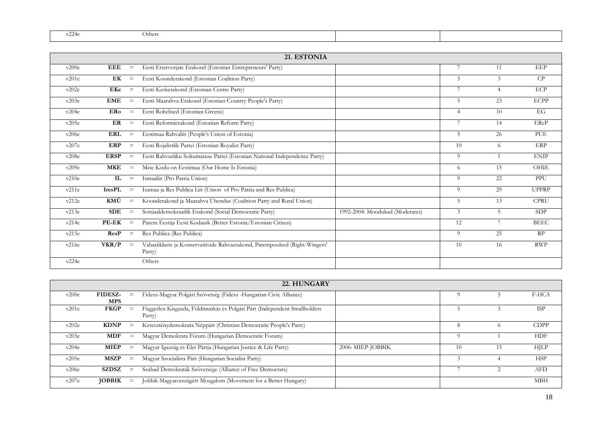| $\sim$<br>$\sim$ | Jthers |  |
|------------------|--------|--|
|                  |        |  |

|       |               |          | 21. ESTONIA                                                                           |                                 |                |                |              |
|-------|---------------|----------|---------------------------------------------------------------------------------------|---------------------------------|----------------|----------------|--------------|
| v200e | <b>EEE</b>    | $\equiv$ | Eesti Ettervotjate Erakond (Estonian Entrepreneurs' Party)                            |                                 | 7              | 11             | EEP          |
| v201e | EK            | $\equiv$ | Eesti Koonderakond (Estonian Coalition Party)                                         |                                 | 5              | $\mathfrak{Z}$ | CP           |
| v202e | EKe           | $\equiv$ | Eesti Keskerakond (Estonian Centre Party)                                             |                                 | 7              | $\overline{4}$ | ECP          |
| v203e | <b>EME</b>    | $\,=\,$  | Eesti Maarahva Erakond (Estonian Country People's Party)                              |                                 | 5              | 23             | <b>ECPP</b>  |
| v204e | ERo           | $\,=\,$  | Eesti Rohelised (Estonian Greens)                                                     |                                 | $\overline{4}$ | 10             | EG           |
| v205e | ER            | $\equiv$ | Eesti Reformierakond (Estonian Reform Party)                                          |                                 | 7              | 14             | EReP         |
| v206e | <b>ERL</b>    | $\equiv$ | Eestimaa Rahvaliit (People's Union of Estonia)                                        |                                 | 5              | 26             | PUE          |
| v207e | ERP           | $\equiv$ | Eesti Rojalistlik Partei (Estonian Royalist Party)                                    |                                 | 10             | 6              | ERP          |
| v208e | <b>ERSP</b>   | $\,=\,$  | Eesti Rahvusliku Soltumatuse Partei (Estonian National Independence Party)            |                                 | 9              | $\overline{1}$ | <b>ENIP</b>  |
| v209e | <b>MKE</b>    | $\equiv$ | Meie Kodu on Eestimaa (Our Home Is Estonia)                                           |                                 | 6              | 15             | OHIE         |
| v210e | IL            | $\equiv$ | Ismaaliit (Pro Patria Union)                                                          |                                 | 9              | 22             | PPU          |
| v211e | <b>IresPL</b> | $\equiv$ | Isamaa ja Res Publica Liit (Union of Pro Patria and Res Publica)                      |                                 | 9              | 29             | <b>UPPRP</b> |
| v212e | KMÜ           | $\equiv$ | Koonderakond ja Maarahva Ühendus (Coalition Party and Rural Union)                    |                                 | 5              | 13             | <b>CPRU</b>  |
| v213e | <b>SDE</b>    | $\equiv$ | Sotsiaaldemokraatlik Erakond (Social Democratic Party)                                | 1992-2004: Moodukad (Moderates) | 3              | 5              | <b>SDP</b>   |
| v214e | PE-EK         | $\equiv$ | Parem Eestija Eesti Kodanik (Better Estonia/Estonian Citizen)                         |                                 | 12             | 7              | <b>BEEC</b>  |
| v215e | ResP          | $\equiv$ | Res Publica (Res Publica)                                                             |                                 | 9              | 25             | RP           |
| v216e | VKR/P         | $\equiv$ | Vabariiklaste ja Konservatiivide Rahvaerakond, Parempoolsed (Right-Wingers'<br>Party) |                                 | 10             | 16             | <b>RWP</b>   |
| v224e |               |          | Others                                                                                |                                 |                |                |              |

|       | 22. HUNGARY                  |          |                                                                                    |                   |    |          |             |  |  |  |
|-------|------------------------------|----------|------------------------------------------------------------------------------------|-------------------|----|----------|-------------|--|--|--|
| v200e | <b>FIDESZ-</b><br><b>MPS</b> | $=$      | Fidesz-Magyar Polgári Szövetség (Fidesz -Hungarian Civic Alliance)                 |                   |    |          | F-HCA       |  |  |  |
| v201e | <b>FKGP</b>                  | $=$      | Független Kisgazda, Földmunkás és Polgári Párt (Independent Smallholders<br>Party) |                   |    |          | <b>ISP</b>  |  |  |  |
| v202e | <b>KDNP</b>                  | $=$      | Kereszténydemokrata Néppárt (Christian Democratic People's Party)                  |                   | 8  | $\Omega$ | <b>CDPP</b> |  |  |  |
| v203e | <b>MDF</b>                   | $=$      | Magyar Demokrata Fórum (Hungarian Democratic Forum)                                |                   |    |          | <b>HDF</b>  |  |  |  |
| v204e | MIÉP                         | $\equiv$ | Magyar Igazság és Élet Pártja (Hungarian Justice & Life Party)                     | 2006: MIEP-JOBBIK | 10 | 15       | <b>HJLP</b> |  |  |  |
| v205e | <b>MSZP</b>                  | $=$      | Magyar Szocialista Párt (Hungarian Socialist Party)                                |                   |    |          | <b>HSP</b>  |  |  |  |
| v206e | <b>SZDSZ</b>                 | $=$      | Szabad Demokraták Szövetsége (Alliance of Free Democrats)                          |                   |    |          | <b>AFD</b>  |  |  |  |
| v207e | <b>JOBBIK</b>                | $=$      | Jobbik Magyarországért Mozgalom (Movement for a Better Hungary)                    |                   |    |          | <b>MBH</b>  |  |  |  |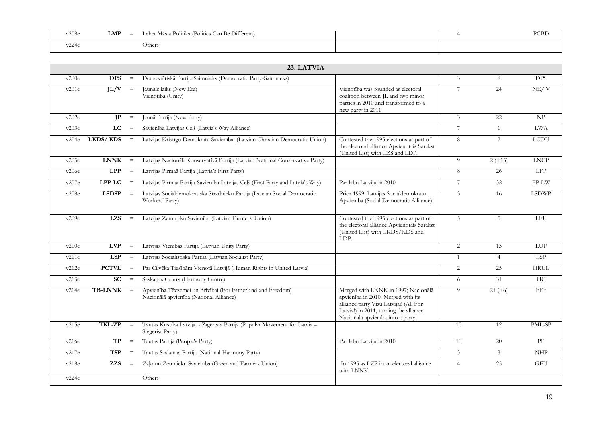| v208e | Lehet Más a Politika (Politics Can Be Different)<br>LMP<br>$\equiv$ |  | PCBD |
|-------|---------------------------------------------------------------------|--|------|
| .     | Others                                                              |  |      |

|       | 23. LATVIA     |          |                                                                                                        |                                                                                                                                                                                                    |                |                 |              |  |  |  |
|-------|----------------|----------|--------------------------------------------------------------------------------------------------------|----------------------------------------------------------------------------------------------------------------------------------------------------------------------------------------------------|----------------|-----------------|--------------|--|--|--|
| v200e | <b>DPS</b>     | $\equiv$ | Demokrātiskā Partija Saimnieks (Democratic Party-Saimnieks)                                            |                                                                                                                                                                                                    | 3              | 8               | <b>DPS</b>   |  |  |  |
| v201e | IL/V           | $\, =$   | Jaunais laiks (New Era)<br>Vienotība (Unity)                                                           | Vienotība was founded as electoral<br>coalition between JL and two minor<br>parties in 2010 and transformed to a<br>new party in 2011                                                              | 7              | 24              | NE/V         |  |  |  |
| v202e | IP             | $\equiv$ | Jaunā Partija (New Party)                                                                              |                                                                                                                                                                                                    | 3              | $\overline{22}$ | NP           |  |  |  |
| v203e | LC             | $\equiv$ | Savienība Latvijas Ceļš (Latvia's Way Alliance)                                                        |                                                                                                                                                                                                    | 7              | $\mathbf{1}$    | <b>LWA</b>   |  |  |  |
| v204e | LKDS/KDS       | $\equiv$ | Latvijas Kristīgo Demokrātu Savienība (Latvian Christian Democratic Union)                             | Contested the 1995 elections as part of<br>the electoral alliance Apvienotais Sarakst<br>(United List) with LZS and LDP.                                                                           | 8              | $7\phantom{.0}$ | <b>LCDU</b>  |  |  |  |
| v205e | <b>LNNK</b>    | $\equiv$ | Latvijas Nacionāli Konservatívā Partija (Latvian National Conservative Party)                          |                                                                                                                                                                                                    | 9              | $2 (+15)$       | <b>LNCP</b>  |  |  |  |
| v206e | <b>LPP</b>     | $\equiv$ | Latvijas Pirmaā Partija (Latvia's First Party)                                                         |                                                                                                                                                                                                    | 8              | 26              | LFP          |  |  |  |
| v207e | LPP-LC         | $\equiv$ | Latvijas Pirmaā Partija-Savienība Latvijas Ceļš (First Party and Latvia's Way)                         | Par labu Latviju in 2010                                                                                                                                                                           | 7              | 32              | $FP-LW$      |  |  |  |
| v208e | <b>LSDSP</b>   | $\equiv$ | Latvijas Sociāldemokrātiskā Strādnieku Partija (Latvian Social Democratic<br>Workers' Party)           | Prior 1999: Latvijas Sociāldemokrātu<br>Apvienība (Social Democratic Alliance)                                                                                                                     | 3              | 16              | <b>LSDWP</b> |  |  |  |
| v209e | <b>LZS</b>     | $\, =$   | Latvijas Zemnieku Savienība (Latvian Farmers' Union)                                                   | Contested the 1995 elections as part of<br>the electoral alliance Apvienotais Sarakst<br>(United List) with LKDS/KDS and<br>LDP.                                                                   | 5              | $5\overline{)}$ | <b>LFU</b>   |  |  |  |
| v210e | <b>LVP</b>     | $\equiv$ | Latvijas Vienības Partija (Latvian Unity Party)                                                        |                                                                                                                                                                                                    | $\overline{2}$ | 13              | LUP          |  |  |  |
| v211e | <b>LSP</b>     | $\equiv$ | Latvijas Sociālistiskā Partija (Latvian Socialist Party)                                               |                                                                                                                                                                                                    | $\mathbf{1}$   | $\overline{4}$  | LSP          |  |  |  |
| v212e | <b>PCTVL</b>   | $\equiv$ | Par Cilvēka Tiesībām Vienotā Latvijā (Human Rights in United Latvia)                                   |                                                                                                                                                                                                    | 2              | 25              | <b>HRUL</b>  |  |  |  |
| v213e | <b>SC</b>      | $\, =$   | Saskaņas Centrs (Harmony Centre)                                                                       |                                                                                                                                                                                                    | 6              | 31              | HC           |  |  |  |
| v214e | <b>TB-LNNK</b> | $=$      | Apvienība Tēvzemei un Brīvībai (For Fatherland and Freedom)<br>Nacionālā apvienība (National Alliance) | Merged with LNNK in 1997; Nacionālā<br>apvienība in 2010. Merged with its<br>alliance party Visu Latvijai! (All For<br>Latvia!) in 2011, turning the alliance<br>Nacionālā apvienība into a party. | $\overline{Q}$ | $21 (+6)$       | FFF          |  |  |  |
| v215e | <b>TKL-ZP</b>  | $\equiv$ | Tautas Kustība Latvijai - Zīgerista Partija (Popular Movement for Latvia -<br>Siegerist Party)         |                                                                                                                                                                                                    | 10             | 12              | PML-SP       |  |  |  |
| v216e | TP             | $\equiv$ | Tautas Partija (People's Party)                                                                        | Par labu Latviju in 2010                                                                                                                                                                           | 10             | 20              | PP           |  |  |  |
| v217e | <b>TSP</b>     | $\equiv$ | Tautas Saskaņas Partija (National Harmony Party)                                                       |                                                                                                                                                                                                    | 3              | $\overline{3}$  | <b>NHP</b>   |  |  |  |
| v218e | <b>ZZS</b>     | $\,=\,$  | Zaļo un Zemnieku Savienība (Green and Farmers Union)                                                   | In 1995 as LZP in an electoral alliance<br>with LNNK                                                                                                                                               | $\overline{4}$ | 25              | <b>GFU</b>   |  |  |  |
| v224e |                |          | Others                                                                                                 |                                                                                                                                                                                                    |                |                 |              |  |  |  |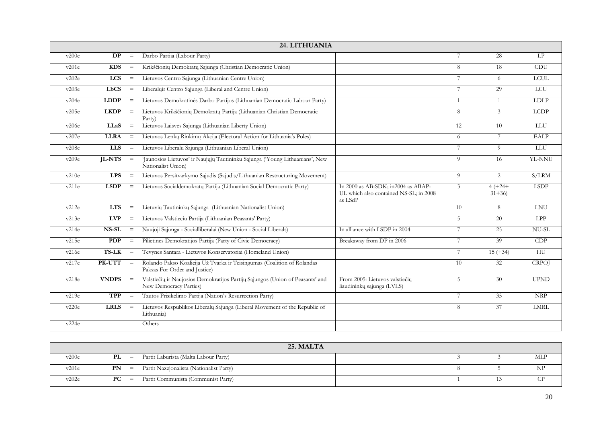|       | 24. LITHUANIA |                         |                                                                                                          |                                                                                         |                 |                        |              |  |  |  |  |
|-------|---------------|-------------------------|----------------------------------------------------------------------------------------------------------|-----------------------------------------------------------------------------------------|-----------------|------------------------|--------------|--|--|--|--|
| v200e | <b>DP</b>     | $\equiv$                | Darbo Partija (Labour Party)                                                                             |                                                                                         | 7               | 28                     | LP           |  |  |  |  |
| v201e | <b>KDS</b>    | $\equiv$                | Krikščionių Demokratų Sąjunga (Christian Democratic Union)                                               |                                                                                         | 8               | 18                     | <b>CDU</b>   |  |  |  |  |
| v202e | <b>LCS</b>    | $\equiv$                | Lietuvos Centro Sąjunga (Lithuanian Centre Union)                                                        |                                                                                         | 7               | 6                      | <b>LCUL</b>  |  |  |  |  |
| v203e | <b>LbCS</b>   | $\equiv$                | Liberaluir Centro Sajunga (Liberal and Centre Union)                                                     |                                                                                         | $7\phantom{.0}$ | 29                     | <b>LCU</b>   |  |  |  |  |
| v204e | <b>LDDP</b>   | $\equiv$                | Lietuvos Demokratinės Darbo Partijos (Lithuanian Democratic Labour Party)                                |                                                                                         | $\mathbf{1}$    | $\overline{1}$         | <b>LDLP</b>  |  |  |  |  |
| v205e | <b>LKDP</b>   | $\equiv$                | Lietuvos Krikščionių Demokratų Partija (Lithuanian Christian Democratic<br>Party)                        |                                                                                         | 8               | 3                      | <b>LCDP</b>  |  |  |  |  |
| v206e | LLaS          | $\equiv$                | Lietuvos Laisvės Sąjunga (Lithuanian Liberty Union)                                                      |                                                                                         | 12              | 10                     | <b>LLU</b>   |  |  |  |  |
| v207e | <b>LLRA</b>   | $\qquad \qquad =\qquad$ | Lietuvos Lenkų Rinkimų Akcija (Electoral Action for Lithuania's Poles)                                   |                                                                                         | 6               | 7                      | <b>EALP</b>  |  |  |  |  |
| v208e | <b>LLS</b>    | $\equiv$                | Lietuvos Liberalu Sąjunga (Lithuanian Liberal Union)                                                     |                                                                                         | 7               | 9                      | LLU          |  |  |  |  |
| v209e | <b>IL-NTS</b> | $=$                     | 'Jaunosios Lietuvos' ir Naujųjų Tautininku Sąjunga ('Young Lithuanians', New<br>Nationalist Union)       |                                                                                         | $\overline{Q}$  | 16                     | YL-NNU       |  |  |  |  |
| v210e | LPS           | $\equiv$                | Lietuvos Persitvarkymo Sąjūdis (Sajudis/Lithuanian Restructuring Movement)                               |                                                                                         | 9               | 2                      | S/LRM        |  |  |  |  |
| v211e | <b>LSDP</b>   | $\equiv$                | Lietuvos Socialdemokratų Partija (Lithuanian Social Democratic Party)                                    | In 2000 as AB-SDK; in2004 as ABAP-<br>UL which also contained NS-SL; in 2008<br>as LSdP | 3               | $4(+24+)$<br>$31 + 36$ | <b>LSDP</b>  |  |  |  |  |
| v212e | <b>LTS</b>    | $\, =$                  | Lietuvių Tautininkų Sąjunga (Lithuanian Nationalist Union)                                               |                                                                                         | 10              | 8                      | <b>LNU</b>   |  |  |  |  |
| v213e | <b>LVP</b>    | $\,=\,$                 | Lietuvos Valstieciu Partija (Lithuanian Peasants' Party)                                                 |                                                                                         | 5               | 20                     | LPP          |  |  |  |  |
| v214e | NS-SL         | $\equiv$                | Naujoji Sąjunga - Socialliberalai (New Union - Social Liberals)                                          | In alliance with LSDP in 2004                                                           | 7               | 25                     | NU-SL        |  |  |  |  |
| v215e | <b>PDP</b>    | $\equiv$                | Pilietinės Demokratijos Partija (Party of Civic Democracy)                                               | Breakaway from DP in 2006                                                               | 7               | 39                     | CDP          |  |  |  |  |
| v216e | <b>TS-LK</b>  | $=$                     | Tevynes Santara - Lietuvos Konservatoriai (Homeland Union)                                               |                                                                                         | $\tau$          | $15 (+34)$             | <b>HU</b>    |  |  |  |  |
| v217e | PK-UTT        | $\equiv$                | Rolando Pakso Koalicija Už Tvarka ir Teisingumas (Coalition of Rolandas<br>Paksas For Order and Justice) |                                                                                         | 10              | 32                     | <b>CRPOJ</b> |  |  |  |  |
| v218e | <b>VNDPS</b>  | $=$                     | Valstiečių ir Naujosios Demokratijos Partijų Sąjungos (Union of Peasants' and<br>New Democracy Parties)  | From 2005: Lietuvos valstiečių<br>liaudininkų sąjunga (LVLS)                            | $\overline{5}$  | 30                     | <b>UPND</b>  |  |  |  |  |
| v219e | <b>TPP</b>    | $\equiv$                | Tautos Prisikėlimo Partija (Nation's Resurrection Party)                                                 |                                                                                         | 7               | 35                     | <b>NRP</b>   |  |  |  |  |
| v220e | <b>LRLS</b>   | $\equiv$                | Lietuvos Respublikos Liberalų Sajunga (Liberal Movement of the Republic of<br>Lithuania)                 |                                                                                         | 8               | 37                     | <b>LMRL</b>  |  |  |  |  |
| v224e |               |                         | Others                                                                                                   |                                                                                         |                 |                        |              |  |  |  |  |

| 25. MALTA |                                                    |  |  |  |  |            |  |  |
|-----------|----------------------------------------------------|--|--|--|--|------------|--|--|
| v200e     | Partit Laburista (Malta Labour Party)<br>$PL =$    |  |  |  |  | <b>MLP</b> |  |  |
| v201e     | Partit Nazzjonalista (Nationalist Party)<br>$PN =$ |  |  |  |  | NP         |  |  |
| v202e     | Partit Communista (Communist Party)<br>$PC =$      |  |  |  |  |            |  |  |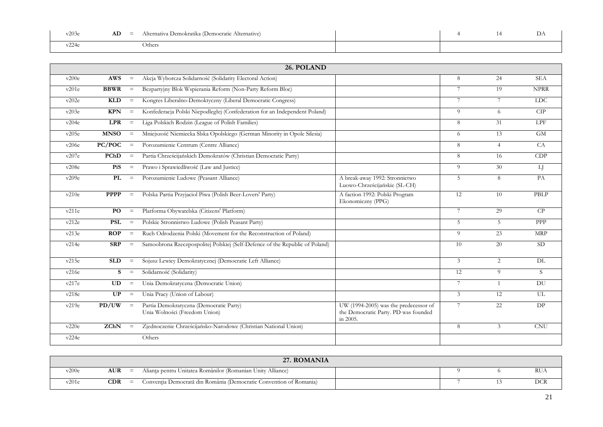| v203<br>$ -$ | AD<br>$\overline{\phantom{a}}$ | (Democratic Alternative)  <br>. Demokratika (1<br>Alternativa |  | ມ⊥ |
|--------------|--------------------------------|---------------------------------------------------------------|--|----|
| $\cap$       |                                | Jthers                                                        |  |    |

|       |             |                         | 26. POLAND                                                                   |                                                                                           |                |                |             |
|-------|-------------|-------------------------|------------------------------------------------------------------------------|-------------------------------------------------------------------------------------------|----------------|----------------|-------------|
| v200e | <b>AWS</b>  | $\equiv$                | Akcja Wyborcza Solidarność (Solidarity Electoral Action)                     |                                                                                           | 8              | 24             | <b>SEA</b>  |
| v201e | <b>BBWR</b> | $\equiv$                | Bezpartyjny Blok Wspierania Reform (Non-Party Reform Bloc)                   |                                                                                           | 7              | 19             | <b>NPRR</b> |
| v202e | <b>KLD</b>  | $\equiv$                | Kongres Liberalno-Demoktyczny (Liberal Democratic Congress)                  |                                                                                           | 7              | 7              | <b>LDC</b>  |
| v203e | <b>KPN</b>  | $\equiv$                | Konfederacja Polski Niepodległej (Confederation for an Independent Poland)   |                                                                                           | 9              | 6              | CIP         |
| v204e | <b>LPR</b>  | $\equiv$                | Liga Polskich Rodzin (League of Polish Families)                             |                                                                                           | 8              | 31             | LPF         |
| v205e | <b>MNSO</b> | $\equiv$                | Mniejszość Niemiecka Slska Opolskiego (German Minority in Opole Silesia)     |                                                                                           | 6              | 13             | <b>GM</b>   |
| v206e | PC/POC      | $\equiv$                | Porozumienie Centrum (Centre Alliance)                                       |                                                                                           | 8              | $\overline{4}$ | CA          |
| v207e | PChD        | $\equiv$                | Partia Chrześcijańskich Demokratów (Christian Democratic Party)              |                                                                                           | 8              | 16             | CDP         |
| v208e | PiS         | $\equiv$                | Prawo i Sprawiedliwość (Law and Justice)                                     |                                                                                           | 9              | 30             | LJ          |
| v209e | PL          | $\equiv$                | Porozumienie Ludowe (Peasant Alliance)                                       | A break-away 1992: Stronnictwo<br>Luowo-Chrześcijańskie (SL-CH)                           | 5              | 8              | PA          |
| v210e | <b>PPPP</b> | $\equiv$                | Polska Partia Przyjaciol Piwa (Polish Beer-Lovers' Party)                    | A faction 1992: Polski Program<br>Ekonomiczny (PPG)                                       | 12             | 10             | PBLP        |
| v211e | PO.         | $\,=\,$                 | Platforma Obywatelska (Citizens' Platform)                                   |                                                                                           | $\tau$         | 29             | CP          |
| v212e | <b>PSL</b>  | $\qquad \qquad =\qquad$ | Polskie Stronnistwo Ludowe (Polish Peasant Party)                            |                                                                                           | 5              | $\overline{5}$ | <b>PPP</b>  |
| v213e | ROP         | $\equiv$                | Ruch Odrodzenia Polski (Movement for the Reconstruction of Poland)           |                                                                                           | $\overline{Q}$ | 23             | <b>MRP</b>  |
| v214e | <b>SRP</b>  | $\equiv$                | Samoobrona Rzeczpospolitej Polskiej (Self-Defence of the Republic of Poland) |                                                                                           | 10             | 20             | <b>SD</b>   |
| v215e | <b>SLD</b>  | $\equiv$                | Sojusz Lewicy Demokratycznej (Democratic Left Alliance)                      |                                                                                           | 3              | $\overline{c}$ | DL          |
| v216e | S           | $\, =$                  | Solidarność (Solidarity)                                                     |                                                                                           | 12             | 9              | S           |
| v217e | UD          | $\equiv$                | Unia Demokratyczna (Democratic Union)                                        |                                                                                           | 7              | $\overline{1}$ | DU          |
| v218e | UP          | $\equiv$                | Unia Pracy (Union of Labour)                                                 |                                                                                           | 3              | 12             | UL.         |
| v219e | PD/UW       | $=$                     | Partia Demokratyczna (Democratic Party)<br>Unia Wolności (Freedom Union)     | UW (1994-2005) was the predecessor of<br>the Democratic Party. PD was founded<br>in 2005. | 7              | 22             | DP.         |
| v220e | ZChN        | $=$                     | Zjednoczenie Chrześcijańsko-Narodowe (Christian National Union)              |                                                                                           | 8              | 3              | <b>CNU</b>  |
| v224e |             |                         | Others                                                                       |                                                                                           |                |                |             |

|         |            | <b>ROMANIA</b><br>27                                               |  |     |
|---------|------------|--------------------------------------------------------------------|--|-----|
| v200e   | <b>AUR</b> | Alianța pentru Unitatea Românilor (Romanian Unity Alliance)        |  | RUA |
| $-201e$ | CDR        | Conventia Democrată din România (Democratic Convention of Romania) |  | ⌒⌒  |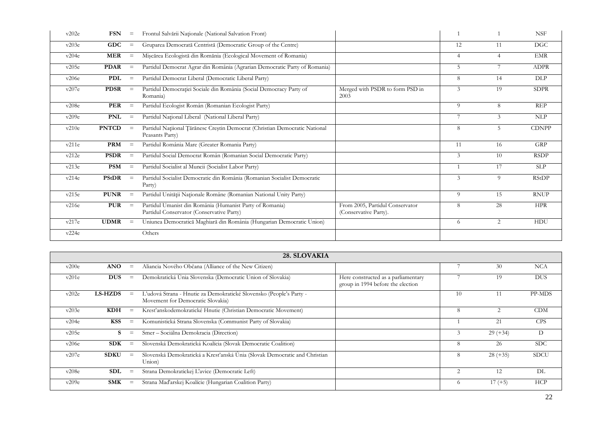| v202e | <b>FSN</b>   | $\qquad \qquad =$ | Frontul Salvării Naționale (National Salvation Front)                                                 |                                                          |                |                 | <b>NSF</b>   |
|-------|--------------|-------------------|-------------------------------------------------------------------------------------------------------|----------------------------------------------------------|----------------|-----------------|--------------|
| v203e | <b>GDC</b>   | $\equiv$          | Gruparea Democrată Centristă (Democratic Group of the Centre)                                         |                                                          | 12             | 11              | <b>DGC</b>   |
| v204e | <b>MER</b>   | $\qquad \qquad =$ | Mișcărea Ecologistă din Romănia (Ecological Movement of Romania)                                      |                                                          | $\overline{4}$ | 4               | <b>EMR</b>   |
| v205e | <b>PDAR</b>  | $\qquad \qquad =$ | Partidul Democrat Agrar din România (Agrarian Democratic Party of Romania)                            |                                                          | $\overline{5}$ | 7               | <b>ADPR</b>  |
| v206e | <b>PDL</b>   | $\quad \  \  =$   | Partidul Democrat Liberal (Democratic Liberal Party)                                                  |                                                          | 8              | 14              | DLP          |
| v207e | <b>PDSR</b>  | $\equiv$          | Partidul Democrației Sociale din România (Social Democracy Party of<br>Romania)                       | Merged with PSDR to form PSD in<br>2003                  | 3              | 19              | <b>SDPR</b>  |
| v208e | PER          | $\equiv$          | Partidul Ecologist Român (Romanian Ecologist Party)                                                   |                                                          | 9              | 8               | <b>REP</b>   |
| v209e | <b>PNL</b>   | $=$               | Partidul Național Liberal (National Liberal Party)                                                    |                                                          |                | 3               | NLP          |
| v210e | <b>PNTCD</b> | $=$               | Partidul Națiional Țărănesc Creștin Democrat (Christian Democratic National<br>Peasants Party)        |                                                          | 8              | 5               | <b>CDNPP</b> |
| v211e | <b>PRM</b>   | $\qquad \qquad =$ | Partidul România Mare (Greater Romania Party)                                                         |                                                          | 11             | 16              | <b>GRP</b>   |
| v212e | <b>PSDR</b>  | $=$               | Partidul Social Democrat Român (Romanian Social Democratic Party)                                     |                                                          | 3              | 10 <sup>1</sup> | <b>RSDP</b>  |
| v213e | <b>PSM</b>   | $\qquad \qquad =$ | Partidul Socialist al Muncii (Socialist Labor Party)                                                  |                                                          |                | 17              | <b>SLP</b>   |
| v214e | PStDR        | $\equiv$          | Partidul Socialist Democratic din România (Romanian Socialist Democratic<br>Party)                    |                                                          | 3              | 9               | <b>RStDP</b> |
| v215e | <b>PUNR</b>  | $\qquad \qquad =$ | Partidul Unității Naționale Române (Romanian National Unity Party)                                    |                                                          | 9              | 15              | <b>RNUP</b>  |
| v216e | <b>PUR</b>   | $\equiv$          | Partidul Umanist din România (Humanist Party of Romania)<br>Partidul Conservator (Conservative Party) | From 2005, Partidul Conservator<br>(Conservative Party). | 8              | 28              | <b>HPR</b>   |
| v217e | <b>UDMR</b>  | $\, =$            | Uniunea Democratică Maghiară din România (Hungarian Democratic Union)                                 |                                                          | 6              | 2               | <b>HDU</b>   |
| v224e |              |                   | Others                                                                                                |                                                          |                |                 |              |

|       |                |                   | 28. SLOVAKIA                                                                                             |                                                                          |                             |            |             |
|-------|----------------|-------------------|----------------------------------------------------------------------------------------------------------|--------------------------------------------------------------------------|-----------------------------|------------|-------------|
| v200e | <b>ANO</b>     | $\equiv$          | Aliancia Nového Občana (Alliance of the New Citizen)                                                     |                                                                          |                             | 30         | <b>NCA</b>  |
| v201e | <b>DUS</b>     | $\equiv$          | Demokratická Únia Slovenska (Democratic Union of Slovakia)                                               | Here constructed as a parliamentary<br>group in 1994 before the election |                             | 19         | <b>DUS</b>  |
| v202e | <b>LS-HZDS</b> | $=$               | L'udová Strana - Hnutie za Demokratické Slovensko (People's Party -<br>Movement for Democratic Slovakia) |                                                                          | 10                          |            | PP-MDS      |
| v203e | KDH            | $\equiv$          | Kresťanskodemokratické Hnutie (Christian Democratic Movement)                                            |                                                                          | 8                           | 2          | CDM         |
| v204e | <b>KSS</b>     | $\equiv$          | Komunistická Strana Slovenska (Communist Party of Slovakia)                                              |                                                                          |                             | 21         | <b>CPS</b>  |
| v205e | S              | $\equiv$          | Smer - Sociálna Demokracia (Direction)                                                                   |                                                                          |                             | $29 (+34)$ | D           |
| v206e | <b>SDK</b>     | $\equiv$          | Slovenská Demokratická Koalícia (Slovak Democratic Coalition)                                            |                                                                          | 8                           | 26         | <b>SDC</b>  |
| v207e | <b>SDKU</b>    | $\equiv$          | Slovenská Demokratická a Kresťanská Únia (Slovak Democratic and Christian<br>Union)                      |                                                                          | 8                           | $28 (+35)$ | <b>SDCU</b> |
| v208e | SDL            | $\equiv$          | Strana Demokratickej L'avice (Democratic Left)                                                           |                                                                          | $\mathcal{D}_{\mathcal{L}}$ | 12         | DL          |
| v209e | SMK            | $\qquad \qquad =$ | Strana Maďarskej Koalície (Hungarian Coalition Party)                                                    |                                                                          | 6                           | $17 (+5)$  | HCP         |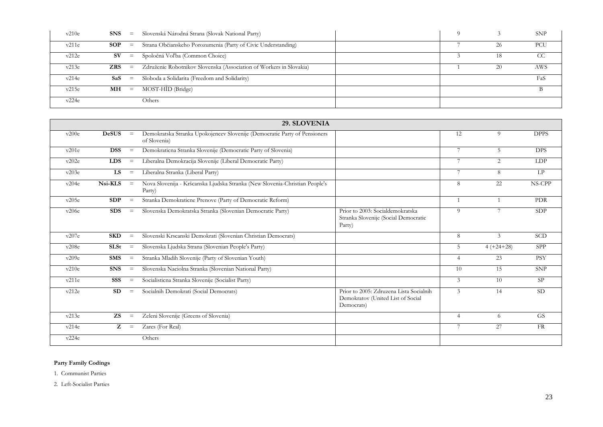| v210e |                  | $\text{SNS}$ = Slovenská Národná Strana (Slovak National Party)     |    | <b>SNP</b> |
|-------|------------------|---------------------------------------------------------------------|----|------------|
| v211e | $SOP =$          | Strana Občianskeho Porozumenia (Party of Civic Understanding)       | 26 | PCU        |
| v212e | SV —<br>$\equiv$ | Spoločná Voľba (Common Choice)                                      |    | CC         |
| v213e | $ZRS =$          | Združenie Robotnikov Slovenska (Association of Workers in Slovakia) | 20 | AWS        |
| v214e | $SaS =$          | Sloboda a Solidarita (Freedom and Solidarity)                       |    | FaS        |
| v215e | $MH =$           | MOST-HÍD (Bridge)                                                   |    | B          |
| v224e |                  | Others                                                              |    |            |

| 29. SLOVENIA |              |                         |                                                                                           |                                                                                            |                 |                |             |
|--------------|--------------|-------------------------|-------------------------------------------------------------------------------------------|--------------------------------------------------------------------------------------------|-----------------|----------------|-------------|
| v200e        | <b>DeSUS</b> | $=$                     | Demokratska Stranka Upokojencev Slovenije (Democratic Party of Pensioners<br>of Slovenia) |                                                                                            | 12              | 9              | <b>DPPS</b> |
| v201e        | <b>DSS</b>   | $=$                     | Demokraticna Stranka Slovenije (Democratic Party of Slovenia)                             |                                                                                            | $7\phantom{.0}$ | 5              | <b>DPS</b>  |
| v202e        | <b>LDS</b>   | $\equiv$                | Liberalna Demokracija Slovenije (Liberal Democratic Party)                                |                                                                                            | 7               | 2              | LDP         |
| v203e        | <b>LS</b>    | $\qquad \qquad =\qquad$ | Liberalna Stranka (Liberal Party)                                                         |                                                                                            | $\overline{7}$  | 8              | LP          |
| v204e        | Nsi-KLS      | $=$                     | Nova Slovenija - Kršcanska Ljudska Stranka (New Slovenia-Christian People's<br>Party)     |                                                                                            | 8               | 22             | NS-CPP      |
| v205e        | SDP          | $\equiv$                | Stranka Demokraticne Prenove (Party of Democratic Reform)                                 |                                                                                            |                 | $\overline{1}$ | <b>PDR</b>  |
| v206e        | <b>SDS</b>   | $\equiv$                | Slovenska Demokratska Stranka (Slovenian Democratic Party)                                | Prior to 2003: Socialdemokratska<br>Stranka Slovenije (Social Democratic<br>Party)         | 9               | 7              | SDP         |
| v207e        | <b>SKD</b>   | $\equiv$                | Slovenski Krscanski Demokrati (Slovenian Christian Democrats)                             |                                                                                            | 8               | 3              | <b>SCD</b>  |
| v208e        | <b>SLSt</b>  | $\equiv$                | Slovenska Ljudska Strana (Slovenian People's Party)                                       |                                                                                            | 5               | $4 (+24 + 28)$ | <b>SPP</b>  |
| v209e        | <b>SMS</b>   | $\equiv$                | Stranka Mladih Slovenije (Party of Slovenian Youth)                                       |                                                                                            | $\overline{4}$  | 23             | <b>PSY</b>  |
| v210e        | <b>SNS</b>   | $\equiv$                | Slovenska Naciolna Stranka (Slovenian National Party)                                     |                                                                                            | 10              | 15             | <b>SNP</b>  |
| v211e        | SSS          | $\qquad \qquad =$       | Socialisticna Stranka Slovenije (Socialist Party)                                         |                                                                                            | 3               | 10             | <b>SP</b>   |
| v212e        | SD           | $\equiv$                | Socialnih Demokrati (Social Democrats)                                                    | Prior to 2005: Zdruzena Lista Socialnih<br>Demokratov (United List of Social<br>Democrats) | 3               | 14             | SD          |
| v213e        | ZS           | $\equiv$                | Zeleni Slovenije (Greens of Slovenia)                                                     |                                                                                            | $\overline{4}$  | 6              | <b>GS</b>   |
| v214e        | Z            | $=$                     | Zares (For Real)                                                                          |                                                                                            | 7               | 27             | <b>FR</b>   |
| v224e        |              |                         | Others                                                                                    |                                                                                            |                 |                |             |

#### **Party Family Codings**

1. Communist Parties

2. Left-Socialist Parties